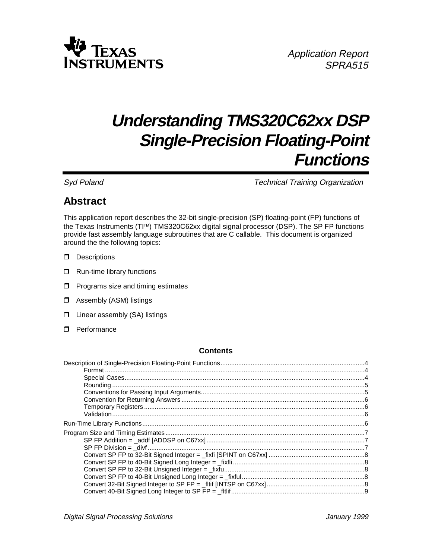

# **Understanding TMS320C62xx DSP Single-Precision Floating-Point Functions**

Syd Poland **Technical Training Organization** Technical Training Organization

# **Abstract**

This application report describes the 32-bit single-precision (SP) floating-point (FP) functions of the Texas Instruments (TI<sup>M</sup>) TMS320C62xx digital signal processor (DSP). The SP FP functions provide fast assembly language subroutines that are C callable. This document is organized around the the following topics:

- $\Box$  Descriptions
- $\Box$  Run-time library functions
- $\Box$  Programs size and timing estimates
- $\Box$  Assembly (ASM) listings
- $\Box$  Linear assembly (SA) listings
- $\Box$  Performance

#### **Contents**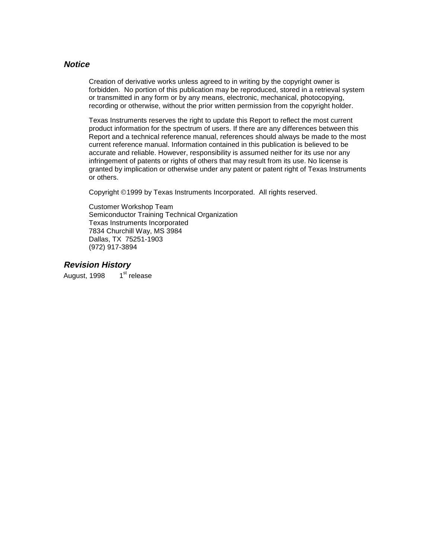#### **Notice**

Creation of derivative works unless agreed to in writing by the copyright owner is forbidden. No portion of this publication may be reproduced, stored in a retrieval system or transmitted in any form or by any means, electronic, mechanical, photocopying, recording or otherwise, without the prior written permission from the copyright holder.

Texas Instruments reserves the right to update this Report to reflect the most current product information for the spectrum of users. If there are any differences between this Report and a technical reference manual, references should always be made to the most current reference manual. Information contained in this publication is believed to be accurate and reliable. However, responsibility is assumed neither for its use nor any infringement of patents or rights of others that may result from its use. No license is granted by implication or otherwise under any patent or patent right of Texas Instruments or others.

Copyright ©1999 by Texas Instruments Incorporated. All rights reserved.

Customer Workshop Team Semiconductor Training Technical Organization Texas Instruments Incorporated 7834 Churchill Way, MS 3984 Dallas, TX 75251-1903 (972) 917-3894

**Revision History**

August, 1998 1<sup>st</sup> release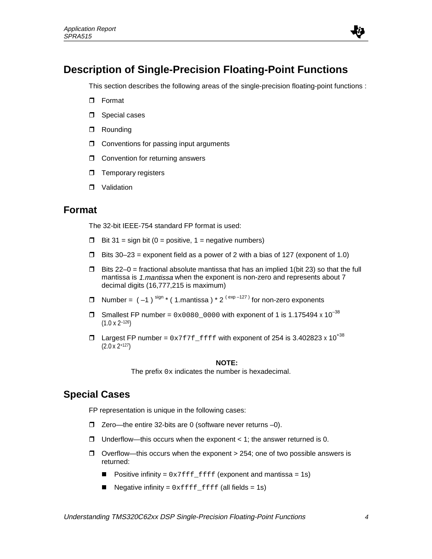

## **Description of Single-Precision Floating-Point Functions**

This section describes the following areas of the single-precision floating-point functions :

- $\Box$  Format
- $\Box$  Special cases
- **D** Rounding
- $\Box$  Conventions for passing input arguments
- $\Box$  Convention for returning answers
- $\Box$  Temporary registers
- $\Box$  Validation

#### **Format**

The 32-bit IEEE-754 standard FP format is used:

- $\Box$  Bit 31 = sign bit (0 = positive, 1 = negative numbers)
- $\Box$  Bits 30–23 = exponent field as a power of 2 with a bias of 127 (exponent of 1.0)
- $\Box$  Bits 22–0 = fractional absolute mantissa that has an implied 1(bit 23) so that the full mantissa is 1.mantissa when the exponent is non-zero and represents about 7 decimal digits (16,777,215 is maximum)
- **D** Number =  $(-1)^{\text{sign }*}$  (1.mantissa)  $* 2^{(\text{exp }-127)}$  for non-zero exponents
- **T** Smallest FP number =  $0 \times 0080$  0000 with exponent of 1 is 1.175494 x 10<sup>-38</sup>  $(1.0 \times 2^{-126})$
- $\Box$  Largest FP number =  $0x7f7f_f$  filled with exponent of 254 is 3.402823 x 10<sup>+38</sup> (2.0 x 2+127)

#### **NOTE:**

The prefix  $0x$  indicates the number is hexadecimal.

### **Special Cases**

FP representation is unique in the following cases:

- $\Box$  Zero—the entire 32-bits are 0 (software never returns –0).
- $\Box$  Underflow—this occurs when the exponent < 1; the answer returned is 0.
- $\Box$  Overflow—this occurs when the exponent > 254; one of two possible answers is returned:
	- Positive infinity =  $0x7fffff$  ffff (exponent and mantissa = 1s)
	- Negative infinity =  $0xfftfft_ffft$  (all fields = 1s)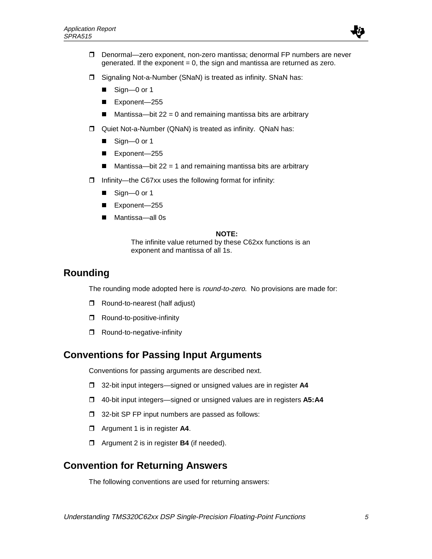

- $\Box$  Denormal—zero exponent, non-zero mantissa; denormal FP numbers are never generated. If the exponent  $= 0$ , the sign and mantissa are returned as zero.
- $\Box$  Signaling Not-a-Number (SNaN) is treated as infinity. SNaN has:
	- $\blacksquare$  Sign-0 or 1
	- Exponent-255
	- $\blacksquare$  Mantissa—bit 22 = 0 and remaining mantissa bits are arbitrary
- □ Quiet Not-a-Number (QNaN) is treated as infinity. QNaN has:
	- $\blacksquare$  Sign—0 or 1
	- Exponent-255
	- Mantissa—bit 22 = 1 and remaining mantissa bits are arbitrary
- $\Box$  Infinity—the C67xx uses the following format for infinity:
	- $\blacksquare$  Sign—0 or 1
	- Exponent-255
	- Mantissa-all 0s

#### **NOTE:**

The infinite value returned by these C62xx functions is an exponent and mantissa of all 1s.

### **Rounding**

The rounding mode adopted here is *round-to-zero*. No provisions are made for:

- $\Box$  Round-to-nearest (half adjust)
- $\Box$  Round-to-positive-infinity
- $\Box$  Round-to-negative-infinity

## **Conventions for Passing Input Arguments**

Conventions for passing arguments are described next.

- □ 32-bit input integers—signed or unsigned values are in register A4
- □ 40-bit input integers—signed or unsigned values are in registers A5:A4
- $\Box$  32-bit SP FP input numbers are passed as follows:
- **d** Argument 1 is in register **A4**.
- **d** Argument 2 is in register **B4** (if needed).

## **Convention for Returning Answers**

The following conventions are used for returning answers: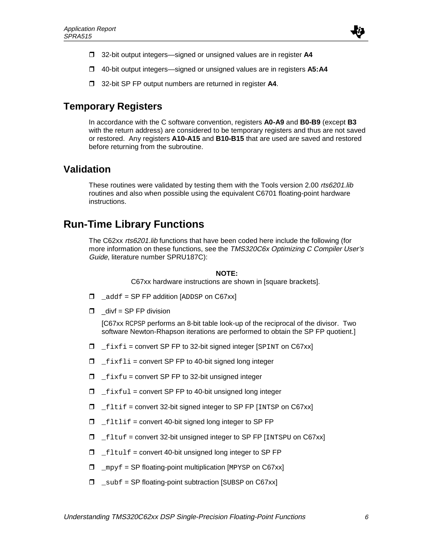

- □ 32-bit output integers—signed or unsigned values are in register A4
- □ 40-bit output integers—signed or unsigned values are in registers A5:A4
- **T** 32-bit SP FP output numbers are returned in register A4.

### **Temporary Registers**

In accordance with the C software convention, registers **A0-A9** and **B0-B9** (except **B3** with the return address) are considered to be temporary registers and thus are not saved or restored. Any registers **A10-A15** and **B10-B15** that are used are saved and restored before returning from the subroutine.

### **Validation**

These routines were validated by testing them with the Tools version 2.00 rts6201.lib routines and also when possible using the equivalent C6701 floating-point hardware instructions.

## **Run-Time Library Functions**

The C62xx rts6201.lib functions that have been coded here include the following (for more information on these functions, see the TMS320C6x Optimizing C Compiler User's Guide, literature number SPRU187C):

#### **NOTE:**

C67xx hardware instructions are shown in [square brackets].

- $\Box$  addf = SP FP addition [ADDSP on C67xx]
- $\Box$   $\Box$  divf = SP FP division

[C67xx RCPSP performs an 8-bit table look-up of the reciprocal of the divisor. Two software Newton-Rhapson iterations are performed to obtain the SP FP quotient.]

- $\Box$   $fixfi$  = convert SP FP to 32-bit signed integer [SPINT on C67xx]
- $\Box$   $_{\text{firstli}}$  = convert SP FP to 40-bit signed long integer
- $\Box$  \_fixfu = convert SP FP to 32-bit unsigned integer
- $I_{\text{firstul}}$  = convert SP FP to 40-bit unsigned long integer
- $\Box$   $If$   $\exists$   $\bot$   $\exists$   $\bot$   $\exists$   $\bot$   $\exists$   $\bot$   $\exists$   $\bot$   $\exists$   $\bot$   $\exists$   $\bot$   $\exists$   $\bot$   $\exists$   $\bot$   $\exists$   $\bot$   $\exists$   $\bot$   $\exists$   $\bot$   $\exists$   $\bot$   $\exists$   $\bot$   $\exists$   $\bot$   $\exists$   $\bot$   $\exists$   $\bot$   $\exists$   $\bot$   $\exists$   $\bot$   $\exists$   $\bot$   $\exists$   $\bot$   $\$
- $I_{\text{rel}}$   $\Box$   $I_{\text{rel}}$  = convert 40-bit signed long integer to SP FP
- $\Box$   $If$  Ltuf = convert 32-bit unsigned integer to SP FP [INTSPU on C67xx]
- $I_{\text{right}} =$  fltulf = convert 40-bit unsigned long integer to SP FP
- $\Box$  mpyf = SP floating-point multiplication [MPYSP on C67xx]
- $\Box$  subf = SP floating-point subtraction [SUBSP on C67xx]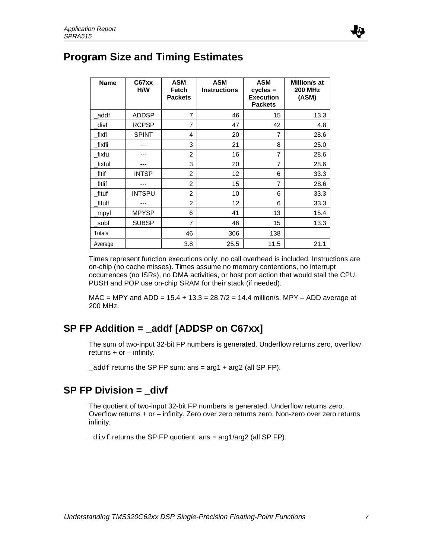## **Program Size and Timing Estimates**

| <b>Name</b> | C67xx<br>H/W  | <b>ASM</b><br>Fetch<br><b>Packets</b> | <b>ASM</b><br><b>Instructions</b> | <b>ASM</b><br>$cycles =$<br><b>Execution</b><br><b>Packets</b> | Million/s at<br><b>200 MHz</b><br>(ASM) |
|-------------|---------------|---------------------------------------|-----------------------------------|----------------------------------------------------------------|-----------------------------------------|
| addf        | <b>ADDSP</b>  | 7                                     | 46                                | 15                                                             | 13.3                                    |
| divf        | <b>RCPSP</b>  | 7                                     | 47                                | 42                                                             | 4.8                                     |
| fixfi       | <b>SPINT</b>  | 4                                     | 20                                | 7                                                              | 28.6                                    |
| fixfli      |               | 3                                     | 21                                | 8                                                              | 25.0                                    |
| fixfu       |               | $\overline{2}$                        | 16                                | 7                                                              | 28.6                                    |
| fixful      | ---           | 3                                     | 20                                | $\overline{7}$                                                 | 28.6                                    |
| fltif       | <b>INTSP</b>  | $\overline{2}$                        | 12                                | 6                                                              | 33.3                                    |
| fitlif      |               | 2                                     | 15                                | 7                                                              | 28.6                                    |
| fltuf       | <b>INTSPU</b> | $\overline{2}$                        | 10                                | 6                                                              | 33.3                                    |
| fitulf      |               | 2                                     | 12                                | 6                                                              | 33.3                                    |
| mpyf        | <b>MPYSP</b>  | 6                                     | 41                                | 13                                                             | 15.4                                    |
| subf        | <b>SUBSP</b>  | 7                                     | 46                                | 15                                                             | 13.3                                    |
| Totals      |               | 46                                    | 306                               | 138                                                            |                                         |
| Average     |               | 3.8                                   | 25.5                              | 11.5                                                           | 21.1                                    |

Times represent function executions only; no call overhead is included. Instructions are on-chip (no cache misses). Times assume no memory contentions, no interrupt occurrences (no ISRs), no DMA activities, or host port action that would stall the CPU. PUSH and POP use on-chip SRAM for their stack (if needed).

 $MAC = MPY$  and  $ADD = 15.4 + 13.3 = 28.7/2 = 14.4$  million/s. MPY - ADD average at 200 MHz.

## **SP FP Addition = \_addf [ADDSP on C67xx]**

The sum of two-input 32-bit FP numbers is generated. Underflow returns zero, overflow returns  $+$  or  $-$  infinity.

 $\_add$  returns the SP FP sum: ans =  $arg1 + arg2$  (all SP FP).

## **SP FP Division = divf**

The quotient of two-input 32-bit FP numbers is generated. Underflow returns zero. Overflow returns + or – infinity. Zero over zero returns zero. Non-zero over zero returns infinity.

 $\_divf$  returns the SP FP quotient: ans =  $arg1/arg2$  (all SP FP).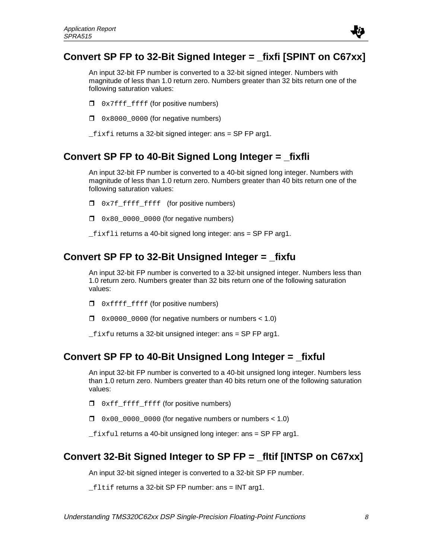## **Convert SP FP to 32-Bit Signed Integer = \_fixfi [SPINT on C67xx]**

An input 32-bit FP number is converted to a 32-bit signed integer. Numbers with magnitude of less than 1.0 return zero. Numbers greater than 32 bits return one of the following saturation values:

- $\Box$  0x7fff\_ffff (for positive numbers)
- $\Box$  0x8000 0000 (for negative numbers)

 $fixfi$  returns a 32-bit signed integer: ans = SP FP arg1.

## **Convert SP FP to 40-Bit Signed Long Integer = \_fixfli**

An input 32-bit FP number is converted to a 40-bit signed long integer. Numbers with magnitude of less than 1.0 return zero. Numbers greater than 40 bits return one of the following saturation values:

- $\Box$  0x7f\_ffff\_ffff (for positive numbers)
- $\Box$  0x80 0000 0000 (for negative numbers)

 $fixfli$  returns a 40-bit signed long integer: ans = SP FP arg1.

### **Convert SP FP to 32-Bit Unsigned Integer = \_fixfu**

An input 32-bit FP number is converted to a 32-bit unsigned integer. Numbers less than 1.0 return zero. Numbers greater than 32 bits return one of the following saturation values:

- $\Box$  0xffff\_ffff (for positive numbers)
- $\Box$  0x0000\_0000 (for negative numbers or numbers < 1.0)

 $_1$  fixfu returns a 32-bit unsigned integer: ans = SP FP arg1.

## **Convert SP FP to 40-Bit Unsigned Long Integer = \_fixful**

An input 32-bit FP number is converted to a 40-bit unsigned long integer. Numbers less than 1.0 return zero. Numbers greater than 40 bits return one of the following saturation values:

- $\Box$  0xff\_ffff\_ffff (for positive numbers)
- $\Box$  0x00 0000 0000 (for negative numbers or numbers < 1.0)

 $fixful$  returns a 40-bit unsigned long integer: ans = SP FP arg1.

## **Convert 32-Bit Signed Integer to SP FP = \_fltif [INTSP on C67xx]**

An input 32-bit signed integer is converted to a 32-bit SP FP number.

 $_{\text{fliff}}$  returns a 32-bit SP FP number: ans = INT arg1.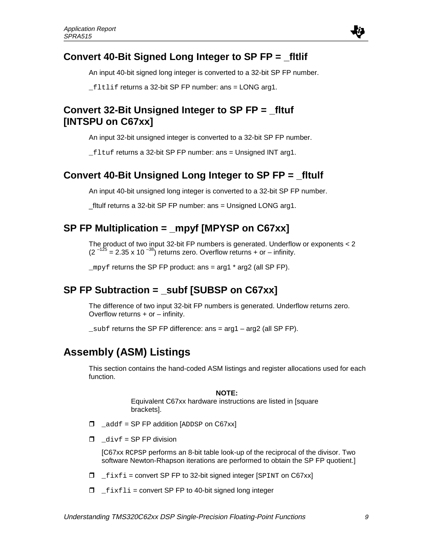## **Convert 40-Bit Signed Long Integer to SP FP = \_fltlif**

An input 40-bit signed long integer is converted to a 32-bit SP FP number.

```
_fltlif returns a 32-bit SP FP number: ans = LONG arg1.
```
## **Convert 32-Bit Unsigned Integer to SP FP = \_fltuf [INTSPU on C67xx]**

An input 32-bit unsigned integer is converted to a 32-bit SP FP number.

\_fltuf returns a 32-bit SP FP number: ans = Unsigned INT arg1.

## **Convert 40-Bit Unsigned Long Integer to SP FP = \_fltulf**

An input 40-bit unsigned long integer is converted to a 32-bit SP FP number.

\_fltulf returns a 32-bit SP FP number: ans = Unsigned LONG arg1.

## **SP FP Multiplication = \_mpyf [MPYSP on C67xx]**

The product of two input 32-bit FP numbers is generated. Underflow or exponents < 2  $(2<sup>-125</sup> = 2.35 \times 10<sup>-38</sup>)$  returns zero. Overflow returns + or – infinity.

\_mpyf returns the SP FP product: ans =  $\arg 1 * \arg 2$  (all SP FP).

## **SP FP Subtraction = \_subf [SUBSP on C67xx]**

The difference of two input 32-bit FP numbers is generated. Underflow returns zero. Overflow returns  $+$  or  $-$  infinity.

 $\_subf$  returns the SP FP difference: ans  $= \arg 1 - \arg 2$  (all SP FP).

## **Assembly (ASM) Listings**

This section contains the hand-coded ASM listings and register allocations used for each function.

#### **NOTE:**

Equivalent C67xx hardware instructions are listed in [square brackets].

- $\Box$  addf = SP FP addition [ADDSP on C67xx]
- r \_divf = SP FP division

[C67xx RCPSP performs an 8-bit table look-up of the reciprocal of the divisor. Two software Newton-Rhapson iterations are performed to obtain the SP FP quotient.]

- $\Box$  fixfi = convert SP FP to 32-bit signed integer [SPINT on C67xx]
- $\Box$   $_{\text{firstli}}$  = convert SP FP to 40-bit signed long integer

.Œ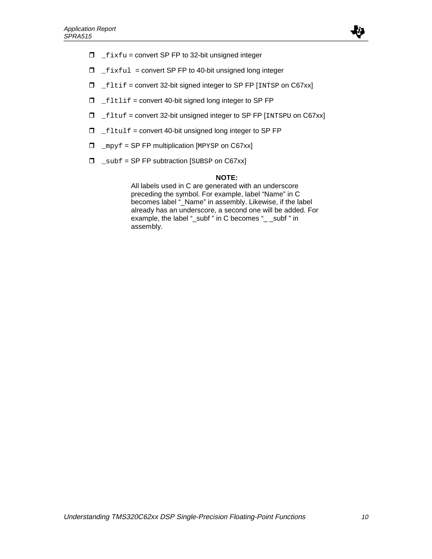

- $I = f$ ixfu = convert SP FP to 32-bit unsigned integer
- $I_{\text{right}}$   $\Box$   $\bot$  fixful = convert SP FP to 40-bit unsigned long integer
- $I_{\text{left}}$  = convert 32-bit signed integer to SP FP [INTSP on C67xx]
- $I_{\text{rel}}$   $\Box$   $I_{\text{rel}}$  = convert 40-bit signed long integer to SP FP
- $\Box$  \_fltuf = convert 32-bit unsigned integer to SP FP [INTSPU on C67xx]
- $I_{\text{rel}}$   $\Box$   $I_{\text{rel}}$  = convert 40-bit unsigned long integer to SP FP
- $\Box$  \_mpyf = SP FP multiplication [MPYSP on C67xx]
- $\Box$  \_subf = SP FP subtraction [SUBSP on C67xx]

#### **NOTE:**

All labels used in C are generated with an underscore preceding the symbol. For example, label "Name" in C becomes label "\_Name" in assembly. Likewise, if the label already has an underscore, a second one will be added. For example, the label "\_subf " in C becomes "\_ \_subf " in assembly.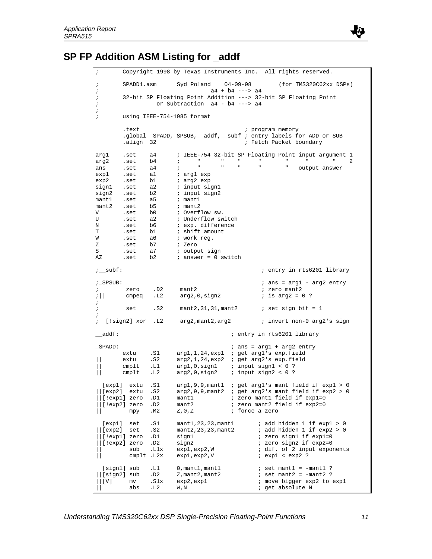

# **SP FP Addition ASM Listing for \_addf**

| $\ddot{ }$                                                                         |                                                                                            |                                                                      |                                                                                                                                                                                                                                 | Copyright 1998 by Texas Instruments Inc. All rights reserved.                                                                                                                                           |
|------------------------------------------------------------------------------------|--------------------------------------------------------------------------------------------|----------------------------------------------------------------------|---------------------------------------------------------------------------------------------------------------------------------------------------------------------------------------------------------------------------------|---------------------------------------------------------------------------------------------------------------------------------------------------------------------------------------------------------|
| $\ddot{\phantom{0}}$<br>ï                                                          | SPADD1.asm                                                                                 |                                                                      | Syd Poland $04-09-98$                                                                                                                                                                                                           | (for TMS320C62xx DSPs)<br>$a4 + b4$ ---> $a4$                                                                                                                                                           |
| $\mathbf{r}$<br>$\ddot{\phantom{0}}$                                               |                                                                                            |                                                                      | or Subtraction a4 - b4 ---> a4                                                                                                                                                                                                  | 32-bit SP Floating Point Addition ---> 32-bit SP Floating Point                                                                                                                                         |
| ï<br>$\mathbf{r}$                                                                  |                                                                                            |                                                                      | using IEEE-754-1985 format                                                                                                                                                                                                      |                                                                                                                                                                                                         |
|                                                                                    | .text<br>align 32.                                                                         |                                                                      |                                                                                                                                                                                                                                 | ; program memory<br>.global _SPADD, _SPSUB, __addf, __subf ; entry labels for ADD or SUB<br>; Fetch Packet boundary                                                                                     |
| arg1<br>arg2<br>ans<br>exp1<br>exp2<br>sign2<br>mant1 .set<br>mant2<br>V<br>U<br>Ν | .set<br>.set<br>.set<br>.set<br>.set<br>sign1 .set<br>.set<br>.set<br>.set<br>.set<br>.set | a4<br>b4<br>a4<br>a1<br>b1<br>a2<br>b2<br>a5<br>b5<br>b0<br>a2<br>b6 | П.<br>$\mathbf{H}$<br>$\ddot{i}$<br>$\mathbf{u}$<br>$\mathbf{H}$<br>$\ddot{i}$<br>; argl exp<br>; arg2 exp<br>; input signl<br>; input sign2<br>; mantl<br>; mant2<br>; Overflow sw.<br>; Underflow switch<br>; exp. difference | ; IEEE-754 32-bit SP Floating Point input argument 1<br>$\mathbf{H}$<br>$\mathbf{H}$<br>п.<br>2<br>$\mathbf{H}$<br>$\mathbf H$<br>ш<br>output answer                                                    |
| Т<br>W                                                                             | .set<br>.set                                                                               | b1<br>аб                                                             | ; shift amount<br>; work reg.                                                                                                                                                                                                   |                                                                                                                                                                                                         |
| Ζ<br>S<br>ΑZ                                                                       | .set<br>.set<br>.set                                                                       | b7<br>a7<br>b2                                                       | ; Zero<br>; output sign<br>$i$ answer = 0 switch                                                                                                                                                                                |                                                                                                                                                                                                         |
| $i$ subf:                                                                          |                                                                                            |                                                                      |                                                                                                                                                                                                                                 | ; entry in rts6201 library                                                                                                                                                                              |
| ; SPSUB:<br>i.<br>$\vert \cdot \vert \vert$                                        |                                                                                            | zero .D2 mant2<br>cmpeq .L2                                          | arg2,0,sign2                                                                                                                                                                                                                    | $i$ ans = arg1 - arg2 entry<br>; zero mant2<br>; is arg2 = $0$ ?                                                                                                                                        |
| i.<br>$\ddot{i}$<br>i.                                                             | set                                                                                        | . S2                                                                 |                                                                                                                                                                                                                                 | $mant2, 31, 31, mant2$ ; set sign bit = 1                                                                                                                                                               |
| $\mathbf{r}$                                                                       |                                                                                            |                                                                      |                                                                                                                                                                                                                                 |                                                                                                                                                                                                         |
| __addf:                                                                            |                                                                                            |                                                                      |                                                                                                                                                                                                                                 | ; entry in rts6201 library                                                                                                                                                                              |
| _SPADD:                                                                            | extu<br>extu<br>cmplt<br>cmplt                                                             | .S1<br>.S2<br>.L1<br>.L2                                             |                                                                                                                                                                                                                                 | $:$ ans = argl + arg2 entry<br>arg1,1,24, exp1 ; get arg1's exp.field<br>$arg2, 1, 24, exp2$ ; get $arg2's$ exp.field<br>$arg1, 0, sign1$ ; input $sign1 < 0$ ?<br>$arg2,0,sign2$ ; input $sign2 < 0$ ? |
| [exp1]<br>[exp2]                                                                   | extu<br>extu<br>[!expl] zero<br>[!exp2] zero<br>mpy                                        | $\boldsymbol{\mathsf{s}}$<br>.s2<br>.D1<br>.D2<br>.м2                | arg2,9,9, mant2<br>mantl<br>mant2<br>$Z$ , $0$ , $Z$                                                                                                                                                                            | $arg1, 9, 9, mant1$ ; get $arg1's$ mant field if $exp1 > 0$<br>; get arg2's mant field if exp2 > 0<br>; zero mantl field if expl=0<br>; zero mant2 field if exp2=0<br>; force a zero                    |
| [exp1]<br>  [exp2]                                                                 | set<br>set<br>[!exp1] zero<br>[!exp2] zero<br>sub<br>cmplt                                 | .S1<br>.s2<br>.D1<br>.D2<br>$_{\mbox{\texttt{-L1x}}}$<br>.L2x        | mant1, 23, 23, mant1<br>mant2, 23, 23, mant2<br>signl<br>sign2<br>exp1, exp2, W<br>exp1,exp2,V                                                                                                                                  | ; add hidden 1 if exp1 > 0<br>$:$ add hidden 1 if $exp2 > 0$<br>; zero signl if expl=0<br>; zero sign2 if exp2=0<br>i dif. of 2 input exponents<br>$i$ expl < exp2 ?                                    |
| [V]                                                                                | [sign1] sub<br>[sign2] sub<br>mv<br>abs                                                    | .L1<br>.D2<br>.S1x<br>.L2                                            | $0$ , mant $1$ , mant $1$<br>Z, mant 2, mant 2<br>exp2, exp1<br>W,N                                                                                                                                                             | $:$ set mantl = $-mant1$ ?<br>$:$ set mant2 = $-mant2$ ?<br>; move bigger exp2 to exp1<br>; get absolute N                                                                                              |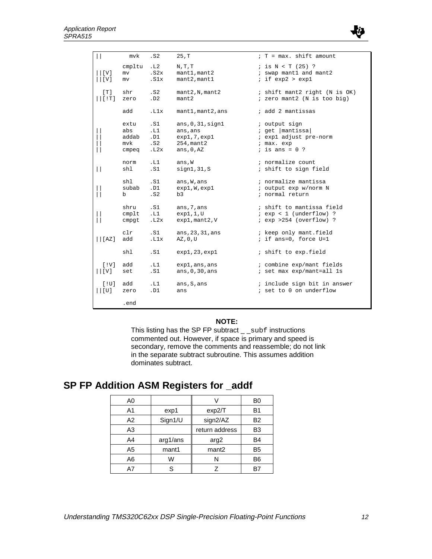

| $\vert \vert$                                             | mvk                | .S2                 | 25, T                                   | $T = max$ . shift amount                                                |
|-----------------------------------------------------------|--------------------|---------------------|-----------------------------------------|-------------------------------------------------------------------------|
| $\lfloor \lfloor \mathrm{V} \rfloor$<br>$\vert \vert$ [V] | cmpltu<br>mv<br>mv | .L2<br>.S2x<br>.S1x | N, T, T<br>mant1, mant2<br>mant2, mant1 | $:$ is $N < T$ (25) ?<br>; swap mant1 and mant2<br>$:$ if $exp2 > exp1$ |
| [T]                                                       | shr                | .S2                 | mant2,N, mant2                          | ; shift mant2 right (N is OK)                                           |
| $\vert\,\vert$ [ $!$ T ]                                  | zero               | .D2                 | mant2                                   | ; zero mant2 (N is too big)                                             |
|                                                           | add                | .L1x                | mant1, mant2, ans                       | ; add 2 mantissas                                                       |
|                                                           | extu               | .S1                 | ans, 0, 31, sign1                       | ; output sign                                                           |
|                                                           | abs                | .L1                 | ans, ans                                | $:$ get $ $ mantissa $ $                                                |
|                                                           | addab              | .D1                 | exp1, 7, exp1                           | ; expl adjust pre-norm                                                  |
|                                                           | mvk                | .S2                 | $254$ , mant $2$                        | ; max. exp                                                              |
|                                                           | cmpeg              | .L2x                | ans, $0, AZ$                            | $:$ is ans = 0 ?                                                        |
| $\vert \vert$                                             | norm               | .L1                 | ans, W                                  | ; normalize count                                                       |
|                                                           | shl                | .S1                 | sign1, 31, S                            | ; shift to sign field                                                   |
|                                                           | shl                | .S1                 | ans, W, ans                             | ; normalize mantissa                                                    |
|                                                           | subab              | .D1                 | exp1, W, exp1                           | ; output exp w/norm N                                                   |
|                                                           | b                  | . S2                | b3                                      | ; normal return                                                         |
|                                                           | shru               | .S1                 | ans, 7, ans                             | ; shift to mantissa field                                               |
|                                                           | $cm$ plt           | .L1                 | exp1,1,U                                | $i$ exp < 1 (underflow) ?                                               |
|                                                           | cmpgt              | .L2x                | $exp1$ , mant $2$ , V                   | $i$ exp > 254 (overflow) ?                                              |
|                                                           | clr                | .S1                 | ans, 23, 31, ans                        | ; keep only mant.field                                                  |
|                                                           | add                | .L1x                | AZ, 0, U                                | ; if ans=0, force $U=1$                                                 |
|                                                           | shl                | .S1                 | exp1,23,exp1                            | ; shift to exp.field                                                    |
| [IV]                                                      | add                | .L1                 | exp1, ans, ans                          | ; combine exp/mant fields                                               |
| $\vert\vert$ [V]                                          | set                | .S1                 | ans, $0, 30$ , ans                      | ; set max exp/mant=all 1s                                               |
| [!U]                                                      | add                | .L1                 | ans, S, ans                             | ; include sign bit in answer                                            |
| [U]                                                       | zero               | .D1                 | ans                                     | ; set to 0 on underflow                                                 |
|                                                           | .end               |                     |                                         |                                                                         |

#### **NOTE:**

This listing has the SP FP subtract \_ \_subf instructions commented out. However, if space is primary and speed is secondary, remove the comments and reassemble; do not link in the separate subtract subroutine. This assumes addition dominates subtract.

## **SP FP Addition ASM Registers for \_addf**

| A0 |          |                   | B0             |
|----|----------|-------------------|----------------|
| A1 | exp1     | exp2/T            | B <sub>1</sub> |
| A2 | Sign1/U  | sign2/AZ          | <b>B2</b>      |
| A3 |          | return address    | B <sub>3</sub> |
| A4 | arg1/ans | arg2              | <b>B4</b>      |
| A5 | mant1    | mant <sub>2</sub> | B <sub>5</sub> |
| A6 | W        | N                 | B <sub>6</sub> |
| Α7 | S        |                   |                |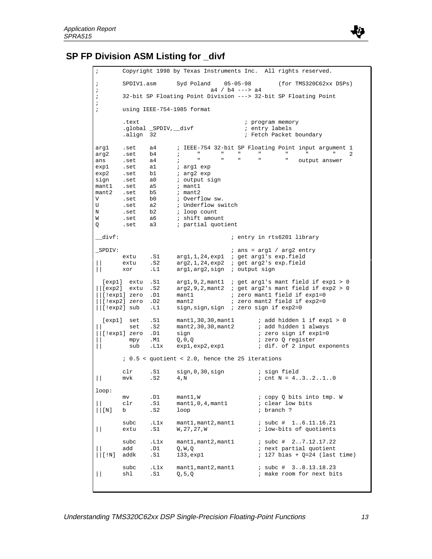

### **SP FP Division ASM Listing for divf**

```
Copyright 1998 by Texas Instruments Inc. All rights reserved.
; SPDIV1.asm Syd Poland 05-05-98 (for TMS320C62xx DSPs)
<sup>2</sup> a4 / b4 ---> a4<br>32-bit SP Floating Point Division ---> 32-
       ; 32-bit SP Floating Point Division ---> 32-bit SP Floating Point
;
; using IEEE-754-1985 format
       .text \qquad \qquad ; \qquad \qquad program memory
       .global _SPDIV, __divf                       ; entry labels<br>align 32                     ; Fetch Packet
                                      ; Fetch Packet boundary
arg1 .set a4 ; IEEE-754 32-bit SP Floating Point input argument 1
arg2 .set b4 ; " " " " " " " 2
ans .set a4 ; " " " " " output answer
exp1 .set a1 i arg1 exp
exp2 .set b1 i arg2 exp
sign .set a0 i output sign<br>mant1 .set a5 i mant1
      set a5 ; mant1<br>set b5 ; mant2.
mant2 .set b5V .set b0 ; Overflow sw.<br>U .set a2 ; Underflow sw
U .set a2 ; Underflow switch
N .set b2 ; loop count
W .set a6 ; shift amount
Q .set a3 ; partial quotient
__divf: ; entry in rts6201 library
_SPDIV: ; ans = arg1 / arg2 entry
 extu .S1 arg1,1,24,exp1 ; get arg1's exp.field
|| extu .S2 arg2,1,24,exp2 ; get arg2's exp.field
     || xor .L1 arg1,arg2,sign ; output sign
 [exp1] extu .S1 arg1,9,2,mant1 ; get arg1's mant field if exp1 > 0
||[exp2] extu .S2 arg2,9,2,mant2 ; get arg2's mant field if exp2 > 0
||[!exp1] zero .D1 mant1 ; zero mant1 field if exp1=0
||[!exp2] zero .D2 mant2 ; zero mant2 field if exp2=0
||[!exp2] sub .L1 sign,sign,sign ; zero sign if exp2=0
 [exp1] set .S1 mant1,30,30,mant1 ; add hidden 1 if exp1 > 0
|| set .S2 mant2,30,30,mant2 ; add hidden 1 always
 ||lexp1] zero .D1 sign <br>
mpy .M1 Q, 0, Q ; zero Q register<br>
sub .L1x exp1, exp2, exp1 ; dif. of 2 input exp
                   0,0,0<br>exp1,exp2,exp1
| sub .L1x exp1,exp2,exp1 ; dif. of 2 input exponents
        ; 0.5 < quotient < 2.0, hence the 25 iterations
       clr .S1 sign, 0, 30, sign ; sign field
|\!\!\int mvk .S2 4, N ; cnt N = 4..3..2..1..0
loop:
      mv .D1 mant1, W ; copy Q bits into tmp. W clr .S1 mant1, 0, 4, mant1 ; clear low bits
       \text{clr} .S1 mant1,0,4, mant1
\vert\vert \lbrack N \rbrack b .S2 loop ; branch ?
       subc .L1x mant1, mant2, mant1 ; subc # 1..6.11.16.21 extu .S1 W, 27, 27, W ; low-bits of quotients
| extu .S1 W, 27, 27, W ; low-bits of quotients
       subc .L1x mant1, mant2, mant1 ; subc # 2..7.12.17.22
|| add .D1 Q,W,Q ; next partial quotient
                                          ; 127 bias + Q=24 (last time)
       subc .L1x mant1, mant2, mant1 ; subc # 3..8.13.18.23<br>sh1 .S1 0,5,0 ; make room for next bi
| shl .S1 Q,5,Q ; make room for next bits
```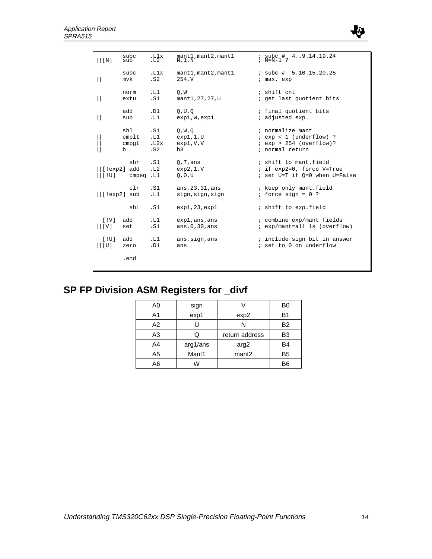

| $\vert\vert$ [N]                             | subc<br>sub             | $:L_2^1$ x       | mant1, mant2, mant1<br>N,1,N      | $\frac{1}{2}$ subc # 49.14.19.24                                                    |
|----------------------------------------------|-------------------------|------------------|-----------------------------------|-------------------------------------------------------------------------------------|
| $\perp$                                      | subc                    | .L1x             | mant1, mant2, mant1               | $:$ subc # 5.10.15.20.25                                                            |
|                                              | $m\nu k$                | . S <sub>2</sub> | 254, V                            | ; max. exp                                                                          |
| $\perp$                                      | norm                    | .L1              | O, W                              | ; shift cnt                                                                         |
|                                              | extu                    | .S1              | mant1, 27, 27, U                  | ; get last quotient bits                                                            |
| $\vert \vert$                                | add                     | .D1              | Q, U, Q                           | ; final quotient bits                                                               |
|                                              | sub                     | .L1              | exp1, W, exp1                     | ; adjusted exp.                                                                     |
|                                              | shl                     | .S1              | Q, W, Q                           | ; normalize mant                                                                    |
|                                              | $cm$ plt                | .L1              | exp1,1,0                          | $i$ exp < 1 (underflow) ?                                                           |
|                                              | cmpgt                   | .L2x             | exp1, V, V                        | $i$ exp > 254 (overflow)?                                                           |
|                                              | b                       | .S2              | b3                                | ; normal return                                                                     |
| $\lfloor$ [ !exp2 ]<br>$\vert$ [ $\vert$ U ] | shr<br>add<br>cmpeq .L1 | .S1<br>.L2       | Q, 7, ans<br>exp2,1, V<br>Q, 0, U | ; shift to mant.field<br>; if exp2=0, force V=True<br>; set U=T if Q=0 when U=False |
|                                              | clr                     | .S1              | ans, 23, 31, ans                  | ; keep only mant.field                                                              |
|                                              | $  $ [!exp2] sub        | .L1              | sign, sign, sign                  | ; force $sign = 0$ ?                                                                |
|                                              | shl                     | .S1              | exp1,23,exp1                      | ; shift to exp.field                                                                |
| [IV]                                         | add                     | .L1              | exp1, ans, ans                    | ; combine exp/mant fields                                                           |
| $\lfloor  V $                                | set                     | .S1              | ans, $0, 30$ , ans                | ; exp/mant=all 1s (overflow)                                                        |
| [10]                                         | add                     | .L1              | ans, sign, ans                    | ; include sign bit in answer                                                        |
|                                              | zero                    | .D1              | ans                               | ; set to 0 on underflow                                                             |
|                                              | .end                    |                  |                                   |                                                                                     |

# **SP FP Division ASM Registers for \_divf**

| A0             | sign     |                   | B0             |
|----------------|----------|-------------------|----------------|
| A1             | exp1     | exp2              | B1             |
| A2             |          | N                 | <b>B2</b>      |
| A <sub>3</sub> |          | return address    | B3             |
| A4             | arg1/ans | arg2              | B4             |
| A <sub>5</sub> | Mant1    | mant <sub>2</sub> | B <sub>5</sub> |
| A6             | w        |                   | B6             |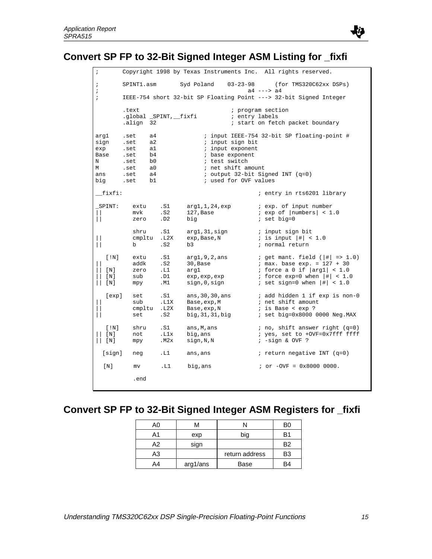

# **Convert SP FP to 32-Bit Signed Integer ASM Listing for \_fixfi**

| $\cdot$                                                           |                                                                                                                          |                                  |                                                                                                                         | Copyright 1998 by Texas Instruments Inc. All rights reserved.                                                                                                                            |
|-------------------------------------------------------------------|--------------------------------------------------------------------------------------------------------------------------|----------------------------------|-------------------------------------------------------------------------------------------------------------------------|------------------------------------------------------------------------------------------------------------------------------------------------------------------------------------------|
| i<br>i                                                            | SPINT1.asm                                                                                                               |                                  | Syd Poland<br>$03 - 23 - 98$                                                                                            | (for TMS320C62xx DSPs)<br>$a4$ ---> $a4$                                                                                                                                                 |
| ï                                                                 |                                                                                                                          |                                  |                                                                                                                         | IEEE-754 short 32-bit SP Floating Point ---> 32-bit Signed Integer                                                                                                                       |
|                                                                   | .text<br>.global _SPINT, __fixfi<br>.align 32                                                                            |                                  |                                                                                                                         | ; program section<br>; entry labels<br>; start on fetch packet boundary                                                                                                                  |
| arq1<br>sign<br>exp<br>Base<br>N<br>М<br>ans<br>big               | a4<br>.set<br>a2<br>.set<br>a1<br>.set<br>b4<br>.set<br>.set<br>b <sub>0</sub><br>.set<br>a0<br>a4<br>.set<br>b1<br>.set |                                  | ; input sign bit<br>; input exponent<br>; base exponent<br>; test switch<br>; net shift amount<br>; used for OVF values | ; input IEEE-754 32-bit SP floating-point #<br>; output $32$ -bit Signed INT (q=0)                                                                                                       |
| fixfi:                                                            |                                                                                                                          |                                  |                                                                                                                         | ; entry in rts6201 library                                                                                                                                                               |
| SPINT:<br>$\Box$                                                  | extu<br>mvk<br>zero                                                                                                      | .S1<br>. S2<br>.D2               | arg1,1,24,exp<br>$127$ , Base<br>big                                                                                    | <i>i</i> exp. of input number<br>$i$ exp of $ numbers  < 1.0$<br>$i$ set big=0                                                                                                           |
| $\mathbf{\mathbf{\mathsf{I}}}\mathbf{\mathsf{I}}$<br>$\mathbf{H}$ | shru<br>cmpltu.L2X<br>b.                                                                                                 | .S1<br>. S2                      | arg1,31,sign<br>exp, Base, N<br>b3                                                                                      | ; input sign bit<br>; is input $ $ #   < 1.0<br>; normal return                                                                                                                          |
| [!N]<br>[N]<br>[N]<br>[N]                                         | extu<br>addk<br>zero<br>sub<br>mpy                                                                                       | .S1<br>. S2<br>.L1<br>.D1<br>.M1 | arg1, 9, 2, ans<br>30,Base<br>arg1<br>exp, exp, exp<br>sign,0,sign                                                      | ; get mant. field $( \# $ => 1.0)<br>$: max. base exp. = 127 + 30$<br>; force a 0 if $\vert arg1 \vert < 1.0$<br>; force $\exp=0$ when $ \#  < 1.0$<br>; set sign=0 when $ $ # $ $ < 1.0 |
| [exp]                                                             | set<br>sub<br>cmpltu<br>set                                                                                              | .S1<br>.L1X<br>.L2X<br>.S2       | ans, 30, 30, ans<br>Base, exp, M<br>Base, exp, N<br>big, 31, 31, big                                                    | ; add hidden 1 if exp is non-0<br>; net shift amount<br>; is Base < exp ?<br>; set big=0x8000 0000 Neg.MAX                                                                               |
| [!N]<br>[ N ]<br>[N]                                              | shru<br>not<br>mpy                                                                                                       | .S1<br>.Llx<br>.M2x              | ans, M, ans<br>big,ans<br>sign, N, N                                                                                    | $: no, shift answer right (q=0)$<br>; yes, set to +OVF=0x7fff ffff<br>$: -sign & OVF$ ?                                                                                                  |
| [sign]                                                            | neg                                                                                                                      | .L1                              | ans, ans                                                                                                                | ; return negative INT $(q=0)$                                                                                                                                                            |
| [N]                                                               | mv                                                                                                                       | .L1                              | big, ans                                                                                                                | $: or -OVF = 0x80000000.$                                                                                                                                                                |
|                                                                   | .end                                                                                                                     |                                  |                                                                                                                         |                                                                                                                                                                                          |

# **Convert SP FP to 32-Bit Signed Integer ASM Registers for \_fixfi**

| A0 | м        |                | B0 |
|----|----------|----------------|----|
| A1 | exp      | big            | B1 |
| Δ2 | sign     |                | B2 |
| A3 |          | return address | B3 |
| A4 | arg1/ans | Base           | B4 |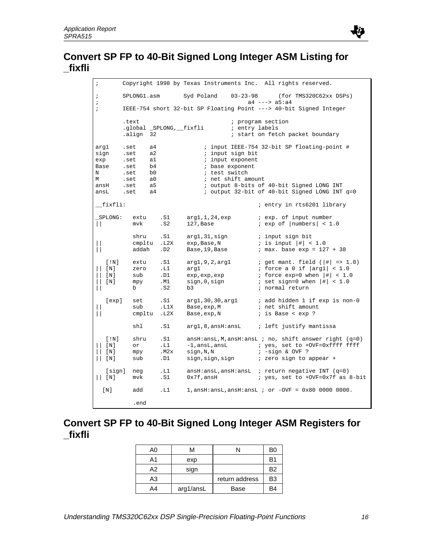

| $\ddot{ }$                                                  |                                                              |                                                          |                                                             | Copyright 1998 by Texas Instruments Inc. All rights reserved.                 |                                                                                                                                                                |
|-------------------------------------------------------------|--------------------------------------------------------------|----------------------------------------------------------|-------------------------------------------------------------|-------------------------------------------------------------------------------|----------------------------------------------------------------------------------------------------------------------------------------------------------------|
| $\ddot{i}$<br>$\ddot{i}$                                    | SPLONG1.asm                                                  |                                                          | Syd Poland                                                  | $03 - 23 - 98$<br>$a4$ ---> $a5:a4$                                           | (for TMS320C62xx DSPs)                                                                                                                                         |
| $\ddot{i}$                                                  |                                                              |                                                          |                                                             |                                                                               | IEEE-754 short 32-bit SP Floating Point ---> 40-bit Signed Integer                                                                                             |
|                                                             | .text<br>align 32.                                           | .global _SPLONG,__fixfli                                 |                                                             | ; program section<br>; entry labels                                           | ; start on fetch packet boundary                                                                                                                               |
| arg1<br>sign<br>exp<br>Base<br>N<br>М<br>ansH<br>ansL       | .set<br>.set<br>.set<br>.set<br>.set<br>.set<br>.set<br>.set | a4<br>a2<br>a1<br>b4<br>b0<br>a <sub>0</sub><br>a5<br>a4 | ; test switch                                               | ; input sign bit<br>; input exponent<br>; base exponent<br>; net shift amount | ; input IEEE-754 32-bit SP floating-point #<br>; output 8-bits of 40-bit Signed LONG INT<br>; output 32-bit of 40-bit Signed LONG INT q=0                      |
| __fixfli:                                                   |                                                              |                                                          |                                                             |                                                                               | ; entry in rts6201 library                                                                                                                                     |
| SPLONG:<br>$\mathbf{L}$                                     | extu<br>mvk                                                  | .S1<br>. S2                                              | arg1,1,24,exp<br>$127,$ Base                                |                                                                               | <i>i</i> exp. of input number<br>$i$ exp of $ numbers  < 1.0$                                                                                                  |
| Н<br>$\mathbf{L}$                                           | shru<br>cmpltu<br>addah                                      | .S1<br>.L2X<br>.D2                                       | arg1,31,sign<br>exp, Base, N<br>Base, 19, Base              |                                                                               | ; input sign bit<br>; is input $ \ddagger  < 1.0$<br>$: max. base exp = 127 + 38$                                                                              |
| [!N]<br>[N]<br>$\mathsf{L}$<br>[N]<br>[ <sub>N</sub> ]<br>Н | extu<br>zero<br>sub<br>mpy<br>b                              | .S1<br>.L1<br>.D1<br>.M1<br>.S2                          | arg1,9,2,arg1<br>arg1<br>exp, exp, exp<br>sign,0,sign<br>b3 |                                                                               | ; get mant. field ( $ \# $ => 1.0)<br>; force a 0 if $ \arg 1  < 1.0$<br>; force $exp=0$ when $ #  < 1.0$<br>; set sign=0 when $ \#  < 1.0$<br>; normal return |
| [exp]<br>$\mathbf{\mathcal{L}}$                             | set<br>sub<br>cmpltu                                         | .S1<br>.L1X<br>.L2X                                      | Base, exp, M<br>Base, exp, N                                |                                                                               | $arg1, 30, 30, arg1$ ; add hidden 1 if $exp$ is non-0<br>; net shift amount<br>; is Base < exp ?                                                               |
|                                                             | shl                                                          | .S1                                                      |                                                             |                                                                               | arg1,8,ansH:ansL ; left justify mantissa                                                                                                                       |
| [!N]<br>$\lceil N \rceil$<br>[ N ]<br>[N]                   | shru<br>or<br>mpy<br>sub                                     | .S1<br>.L1<br>.M2x<br>.D1                                | sign,N,N                                                    |                                                                               | $ansH:ansL,M,ansH:ansL ; no, shift answer right (q=0)$<br>$: -sign & OVF$ ?<br>sign, sign, sign and i zero sign to appear +                                    |
| $  $ [N]                                                    | [sign] neg<br>mvk                                            | .L1<br>.S1                                               | $0x7f$ ,ans $H$                                             |                                                                               | $ansH:ansL,ansH:ansL$ ; return negative INT (q=0)<br>; yes, set to +OVF=0x7f as 8-bit                                                                          |
| [N]                                                         | add                                                          | .L1                                                      |                                                             |                                                                               | $1, \text{ansH:ansL,ansH:ansL}$ ; or $-\text{OVF} = 0 \times 80$ 0000 0000.                                                                                    |
|                                                             | .end                                                         |                                                          |                                                             |                                                                               |                                                                                                                                                                |

## **Convert SP FP to 40-Bit Signed Long Integer ASM Registers for \_fixfli**

| A0 | м         |                | B0             |
|----|-----------|----------------|----------------|
| Α1 | exp       |                | B1             |
| А2 | sign      |                | B <sub>2</sub> |
| A3 |           | return address | B3             |
| A4 | arg1/ansL | Base           | 34             |

より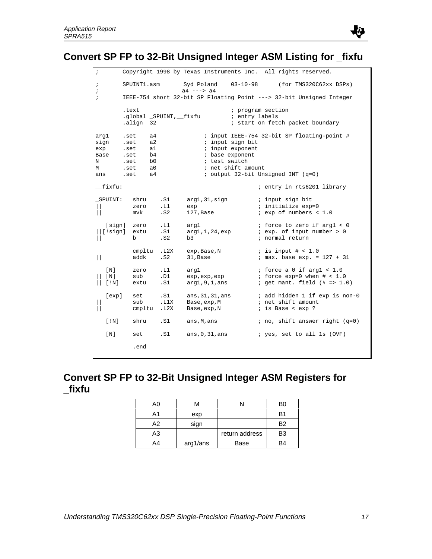

# **Convert SP FP to 32-Bit Unsigned Integer ASM Listing for \_fixfu**

| $\cdot$                                      |                                                      |                                                                |                         | Copyright 1998 by Texas Instruments Inc.         |                                                            | All rights reserved.                                                                                      |
|----------------------------------------------|------------------------------------------------------|----------------------------------------------------------------|-------------------------|--------------------------------------------------|------------------------------------------------------------|-----------------------------------------------------------------------------------------------------------|
| $\cdot$<br>i                                 |                                                      | SPUINT1.asm                                                    |                         | Syd Poland<br>$a4$ ---> $a4$                     | $03 - 10 - 98$                                             | (for TMS320C62xx DSPs)                                                                                    |
| $\cdot$                                      |                                                      |                                                                |                         |                                                  |                                                            | IEEE-754 short 32-bit SP Floating Point ---> 32-bit Unsigned Integer                                      |
|                                              | .text                                                | .align 32                                                      | .global _SPUINT,__fixfu |                                                  | ; entry labels                                             | ; program section<br>; start on fetch packet boundary                                                     |
| arg1<br>sign<br>exp<br>Base<br>Ν<br>М<br>ans | .set<br>.set<br>.set<br>.set<br>.set<br>.set<br>.set | a4<br>a <sub>2</sub><br>al<br>b4<br>b0<br>a <sub>0</sub><br>a4 |                         | ; base exponent<br>; test switch                 | ; input sign bit<br>; input exponent<br>; net shift amount | ; input IEEE-754 32-bit SP floating-point #<br>; output 32-bit Unsigned INT (q=0)                         |
| fixfu:                                       |                                                      |                                                                |                         |                                                  |                                                            | ; entry in rts6201 library                                                                                |
| _SPUINT:                                     | mvk                                                  | shru<br>zero                                                   | .S1<br>.L1<br>. S2      | arg1,31,sign<br>exp<br>$127$ , Base              |                                                            | ; input sign bit<br>; initialize exp=0<br>$i$ exp of numbers < 1.0                                        |
| [sign]<br>$\lfloor$ [!siqn]                  | zero<br>b                                            | extu                                                           | .L1<br>.S1<br>. S2      | arq1<br>arg1,1,24,exp<br>b3                      |                                                            | ; force to zero if argl < 0<br>$i$ exp. of input number > 0<br>; normal return                            |
| $\Box$                                       |                                                      | cmpltu<br>addk                                                 | .L2X<br>.S2             | exp, Base, N<br>31, Base                         |                                                            | $:$ is input # < 1.0<br>$: max. base exp. = 127 + 31$                                                     |
| [ N ]<br>[ N ]<br>$[$ ! $N]$                 | sub                                                  | zero<br>extu                                                   | .L1<br>.D1<br>.S1       | arg1<br>exp, exp, exp<br>arg1, 9, 1, ans         |                                                            | ; force a 0 if argl $< 1.0$<br>; force $exp=0$ when $# < 1.0$<br>; get mant. field $(\# \Rightarrow 1.0)$ |
| [exp]                                        | sub                                                  | set<br>cmpltu                                                  | .S1<br>.L1X<br>.L2X     | ans, 31, 31, ans<br>Base, exp, M<br>Base, exp, N |                                                            | ; add hidden 1 if exp is non-0<br>; net shift amount<br>; is Base < exp ?                                 |
| [!N]                                         |                                                      | shru                                                           | .S1                     | ans,M,ans                                        |                                                            | ; no, shift answer right $(q=0)$                                                                          |
| [ N ]                                        | set                                                  |                                                                | .S1                     | ans, $0, 31$ , ans                               |                                                            | ; yes, set to all 1s (OVF)                                                                                |
|                                              |                                                      | .end                                                           |                         |                                                  |                                                            |                                                                                                           |

## **Convert SP FP to 32-Bit Unsigned Integer ASM Registers for \_fixfu**

| A0 | M        |                | BΩ |
|----|----------|----------------|----|
| A1 | exp      |                | B1 |
| A2 | sign     |                | B2 |
| A3 |          | return address | B3 |
| A4 | arg1/ans | Base           | R4 |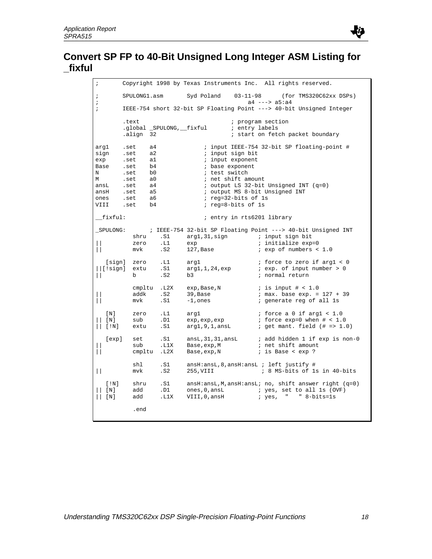

| ï                                                                     |                                                                              |                                                          |                            |                                                                                                                                             |                                     |                   | Copyright 1998 by Texas Instruments Inc. All rights reserved.                                                          |
|-----------------------------------------------------------------------|------------------------------------------------------------------------------|----------------------------------------------------------|----------------------------|---------------------------------------------------------------------------------------------------------------------------------------------|-------------------------------------|-------------------|------------------------------------------------------------------------------------------------------------------------|
| $\cdot$<br>$\ddot{ }$                                                 | SPULONG1.asm                                                                 |                                                          |                            | Syd Poland 03-11-98                                                                                                                         |                                     | $a4$ ---> $a5:a4$ | (for TMS320C62xx DSPs)                                                                                                 |
| $\cdot$                                                               |                                                                              |                                                          |                            |                                                                                                                                             |                                     |                   | IEEE-754 short 32-bit SP Floating Point ---> 40-bit Unsigned Integer                                                   |
|                                                                       | .text<br>align 32.                                                           |                                                          |                            | .global _SPULONG,__fixful                                                                                                                   | ; program section<br>; entry labels |                   | ; start on fetch packet boundary                                                                                       |
| argl<br>sign<br>exp<br>Base<br>N<br>М<br>ansL<br>ansH<br>ones<br>VIII | .set<br>.set<br>.set<br>.set<br>.set<br>.set<br>.set<br>.set<br>.set<br>.set | a4<br>a2<br>a1<br>b4<br>b0<br>a0<br>a4<br>a5<br>a6<br>b4 |                            | ; input sign bit<br>; input exponent<br>; base exponent<br>; test switch<br>; net shift amount<br>; reg=32-bits of 1s<br>; reg=8-bits of 1s |                                     |                   | ; input IEEE-754 32-bit SP floating-point #<br>; output LS 32-bit Unsigned INT (q=0)<br>; output MS 8-bit Unsigned INT |
| fixful:                                                               |                                                                              |                                                          |                            |                                                                                                                                             | ; entry in rts6201 library          |                   |                                                                                                                        |
| SPULONG:<br>$\mathbf{H}$                                              | shru<br>zero<br>mvk                                                          |                                                          | .S1<br>.L1<br>.S2          | exp<br>127,Base                                                                                                                             |                                     |                   | ; IEEE-754 32-bit SP Floating Point ---> 40-bit Unsigned INT<br>; initialize exp=0<br>$i$ exp of numbers < 1.0         |
| [!sign]                                                               | [sign] zero<br>extu<br>b                                                     |                                                          | $\ldots$<br>.S1<br>.S2     | arq1<br>arg1,1,24,exp<br>b3                                                                                                                 |                                     |                   | ; force to zero if argl < 0<br>i exp. of input number > 0<br>; normal return                                           |
| $\mathsf{L}$                                                          | addk<br>mvk                                                                  |                                                          | cmpltu .L2X<br>. S2<br>.S1 | exp, Base, N<br>39,Base<br>$-1$ , ones                                                                                                      |                                     |                   | ; is input $\#$ < 1.0<br>$: max. base exp. = 127 + 39$<br>; generate reg of all 1s                                     |
| [N]<br>$\lfloor N \rfloor$<br>[!N]<br>$\mathbf{H}$                    | zero<br>sub<br>extu                                                          |                                                          | .L1<br>.D1<br>.S1          | argl<br>exp, exp, exp<br>arg1,9,1,ansL                                                                                                      |                                     |                   | <i>i</i> force a 0 if argl $< 1.0$<br>; force $exp=0$ when $\#$ < 1.0<br>$:$ get mant. field $(\# == 1.0)$             |
| [exp]<br>$\perp$                                                      | set<br>sub                                                                   |                                                          | .S1<br>.L1X<br>cmpltu. L2X | ansL, 31, 31, ansL<br>Base, exp, M<br>Base, exp, N                                                                                          |                                     |                   | ; add hidden 1 if exp is non-0<br>; net shift amount<br>; is Base < exp ?                                              |
| $\perp$                                                               | shl<br>mvk                                                                   |                                                          | .S1<br>. S2                | $ansH:ansL, 8, ansH:ansL ; left justify #$<br>255,VIII                                                                                      |                                     |                   | ; 8 MS-bits of 1s in 40-bits                                                                                           |
| [!N]<br>[ N ]<br>[N]                                                  | shru<br>add<br>add                                                           |                                                          | .S1<br>.D1<br>.L1X         | ones, 0, ansL<br>VIII,0,ansH                                                                                                                |                                     |                   | $ansH:ansL, M,ansH:ansL; no, shift answer right (q=0)$<br>; yes, set to all 1s (OVF)<br>; yes, " " 8-bits=1s           |
|                                                                       | .end                                                                         |                                                          |                            |                                                                                                                                             |                                     |                   |                                                                                                                        |
|                                                                       |                                                                              |                                                          |                            |                                                                                                                                             |                                     |                   |                                                                                                                        |

より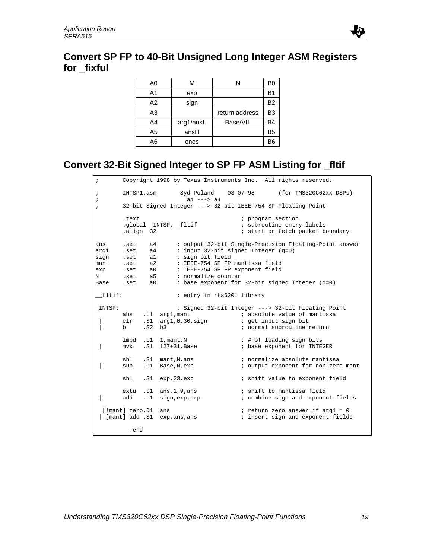## **Convert SP FP to 40-Bit Unsigned Long Integer ASM Registers for \_fixful**

| A0             | М         |                | B0             |
|----------------|-----------|----------------|----------------|
| A1             | exp       |                | B1             |
| A <sub>2</sub> | sign      |                | B <sub>2</sub> |
| A3             |           | return address | B <sub>3</sub> |
| A4             | arg1/ansL | Base/VIII      | B <sub>4</sub> |
| A5             | ansH      |                | B <sub>5</sub> |
| A6             | ones      |                | BЄ             |

# **Convert 32-Bit Signed Integer to SP FP ASM Listing for \_fltif**

| $\ddot{i}$                                      | Copyright 1998 by Texas Instruments Inc. All rights reserved. |                                                              |                                                                                                                                                        |                                                                                                                                          |  |  |  |  |  |
|-------------------------------------------------|---------------------------------------------------------------|--------------------------------------------------------------|--------------------------------------------------------------------------------------------------------------------------------------------------------|------------------------------------------------------------------------------------------------------------------------------------------|--|--|--|--|--|
| $\ddot{ }$<br>$\ddot{i}$                        | INTSP1.asm                                                    |                                                              | Syd Poland<br>$a4$ ---> $a4$                                                                                                                           | $03 - 07 - 98$<br>(for TMS320C62xx DSPs)                                                                                                 |  |  |  |  |  |
| $\ddot{i}$                                      |                                                               | 32-bit Signed Integer ---> 32-bit IEEE-754 SP Floating Point |                                                                                                                                                        |                                                                                                                                          |  |  |  |  |  |
|                                                 | .text<br>align 32.                                            |                                                              | .global _INTSP, _fltif                                                                                                                                 | ; program section<br>; subroutine entry labels<br>; start on fetch packet boundary                                                       |  |  |  |  |  |
| ans<br>arg1<br>sign<br>mant<br>exp<br>N<br>Base | .set<br>.set<br>.set<br>.set a2<br>.set<br>.set<br>.set       | a4<br>a4<br>a1<br>a <sub>0</sub><br>a5<br>a <sub>0</sub>     | ; input 32-bit signed Integer $(q=0)$<br>; sign bit field<br>; IEEE-754 SP FP mantissa field<br>; IEEE-754 SP FP exponent field<br>; normalize counter | ; output 32-bit Single-Precision Floating-Point answer<br>; base exponent for 32-bit signed Integer (q=0)                                |  |  |  |  |  |
| fltif:                                          |                                                               |                                                              | ; entry in rts6201 library                                                                                                                             |                                                                                                                                          |  |  |  |  |  |
| $\_INTSP:$                                      | abs<br>clr<br>b                                               | . L1<br>.S1<br>. S2                                          | arg1, mant<br>argl,0,30,sign<br>b3                                                                                                                     | ; Signed 32-bit Integer ---> 32-bit Floating Point<br>; absolute value of mantissa<br>; get input sign bit<br>; normal subroutine return |  |  |  |  |  |
| $\mathbf{  }$                                   | lmbd<br>mvk                                                   | .L1<br>.S1                                                   | 1, mant, N<br>127+31,Base                                                                                                                              | ; # of leading sign bits<br>; base exponent for INTEGER                                                                                  |  |  |  |  |  |
| $\mathbf{  }$                                   | shl<br>sub                                                    | .S1<br>.D1                                                   | mant, N, ans<br>Base, N, exp                                                                                                                           | ; normalize absolute mantissa<br>; output exponent for non-zero mant                                                                     |  |  |  |  |  |
|                                                 | shl                                                           | .S1                                                          | exp, 23, exp                                                                                                                                           | ; shift value to exponent field                                                                                                          |  |  |  |  |  |
| $\mathbf{L}$                                    | extu<br>add                                                   | .S1<br>.L1                                                   | ans, 1, 9, ans<br>sign, exp, exp                                                                                                                       | ; shift to mantissa field<br>; combine sign and exponent fields                                                                          |  |  |  |  |  |
| [!mant] zero.D1<br>$  $ [mant] add .S1          |                                                               |                                                              | ans<br>exp, ans, ans                                                                                                                                   | ; return zero answer if $\arg 1 = 0$<br>; insert sign and exponent fields                                                                |  |  |  |  |  |
| .end                                            |                                                               |                                                              |                                                                                                                                                        |                                                                                                                                          |  |  |  |  |  |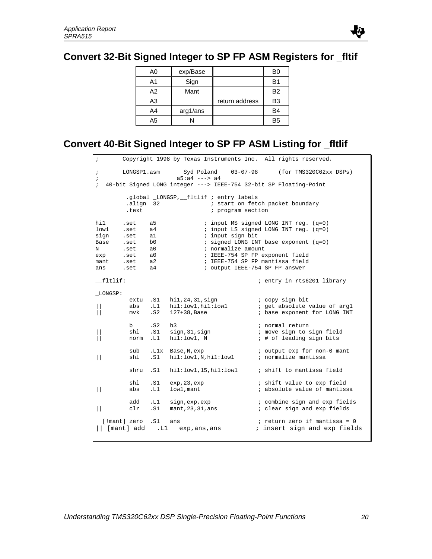## **Convert 32-Bit Signed Integer to SP FP ASM Registers for \_fltif**

| A0 | exp/Base |                | B0             |
|----|----------|----------------|----------------|
| A1 | Sign     |                | B1             |
| A2 | Mant     |                | <b>B2</b>      |
| A3 |          | return address | B <sub>3</sub> |
| A4 | arg1/ans |                | B4             |
| A5 |          |                | B <sub>5</sub> |

## **Convert 40-Bit Signed Integer to SP FP ASM Listing for \_fltlif**

```
; Copyright 1998 by Texas Instruments Inc. All rights reserved.
; LONGSP1.asm Syd Poland 03-07-98 (for TMS320C62xx DSPs)
; a5:a4 ---> a4
; 40-bit Signed LONG integer ---> IEEE-754 32-bit SP Floating-Point
          .global _LONGSP,__fltlif ; entry labels
          .align 32 : i start on fetch packet boundary
         .text \qquad \qquad ; \qquad \qquad program section
hil .set a5 ; input MS signed LONG INT reg. (q=0)<br>lowl .set a4 ; input LS signed LONG INT reg. (q=0)
        .set a4 : input LS signed LONG INT reg. (q=0)
sign .set al \qquad ; input sign bit
\begin{tabular}{lllllllllll} \texttt{Base} & \texttt{.set} & \texttt{b0} & \texttt{ $i$ signed LONG INT base exponent (q=0) \\ \texttt{N} & \texttt{.set} & \texttt{a0} & \texttt{ $i$ normalize amount} \end{tabular}N .set a0 ; normalize amount<br>exp .set a0 ; IEEE-754 SP FP ex
exp .set a0 ; IEEE-754 SP FP exponent field<br>mant .set a2 ; IEEE-754 SP FP mantissa field<br>control control terms 754 SP FP answer
mant .set a2            ; IEEE-754 SP FP mantissa field
ans .set a4 : i output IEEE-754 SP FP answer
__fltlif: ; entry in rts6201 library
_LONGSP:
           extu .S1 hi1,24,31,sign ; copy sign bit<br>abs .L1 hi1:low1,hi1:low1 ; get absolute value of arg1
|| abs .L1 hi1:low1,hi1:low1 ; get absolute value of arg1
|| mvk .S2 127+38,Base ; base exponent for LONG INT
          b .S2 b3 ; normal return<br>
shl .S1 sign, 31, sign ; move sign to :
                  91.51 sign,31, sign : move sign to sign field<br>
1.51 hil:low1, N ; # of leading sign bits
          norm .L1 h1:low1, N
            sub .L1x Base,N,exp ; output exp for non-0 mant
|| \text{shl} .S1 \text{hi1:low1}, \overline{\text{N}, \text{hi1:low1}}shru .S1 hil:low1,15,hil:low1 ; shift to mantissa field
          shl .S1 exp, 23, exp \begin{array}{ccc} .51 & .51 & .51 \\ .51 & 1 \end{array} is hift value to exp field abs .L1 \begin{array}{ccc} .1 & .1 & .1 \\ .1 & .1 & .1 \end{array}|| abs .L1 low1, mant                   ; absolute value of mantissa
           add .L1 sign,exp,exp ; combine sign and exp fields<br>clr .S1 mant,23,31,ans ; clear sign and exp fields
|| clr .S1 mant, 23,31,ans[!mant] zero .S1 ans \qquad \qquad ; return zero if mantissa = 0
|| [mant] add .L1 exp,ans,ans ; insert sign and exp fields
```
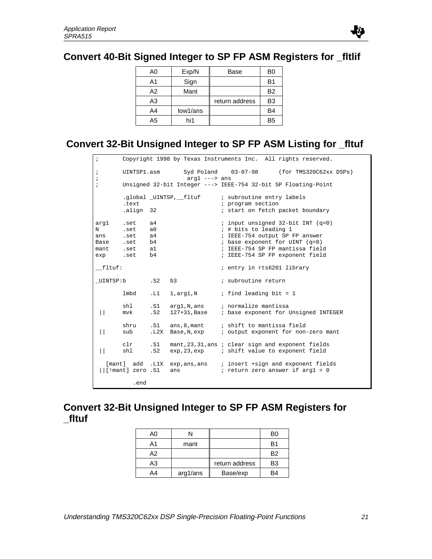## **Convert 40-Bit Signed Integer to SP FP ASM Registers for \_fltlif**

| A0 | Exp/N    | Base           | B0             |
|----|----------|----------------|----------------|
| A1 | Sign     |                | B <sub>1</sub> |
| A2 | Mant     |                | B <sub>2</sub> |
| A3 |          | return address | B <sub>3</sub> |
| A4 | low1/ans |                | B4             |
| A5 | hi1      |                | B <sub>5</sub> |

## **Convert 32-Bit Unsigned Integer to SP FP ASM Listing for \_fltuf**

```
; Copyright 1998 by Texas Instruments Inc. All rights reserved.
; UINTSP1.asm Syd Poland 03-07-98 (for TMS320C62xx DSPs)
; arg1 ---> ans
; Unsigned 32-bit Integer ---> IEEE-754 32-bit SP Floating-Point
 .global _UINTSP,__fltuf ; subroutine entry labels
.text \qquad \qquad ; \qquad \qquad program section
        .align 32 i start on fetch packet boundary
arg1 .set a4 \qquad ; input unsigned 32-bit INT (q=0)<br>N .set a0 \qquad ; # bits to leading 1
N .set a0 \begin{array}{ccc} 18 & 19 & 19 \\ 19 & 19 & 19 \\ 19 & 19 & 19 \\ 19 & 19 & 19 \\ 19 & 19 & 19 \\ 19 & 19 & 19 \\ 19 & 19 & 19 \\ 19 & 19 & 19 \\ 19 & 19 & 19 \\ 19 & 19 & 19 \\ 19 & 19 & 19 \\ 19 & 19 & 19 \\ 19 & 19 & 19 \\ 19 & 19 & 19 \\ 19 & 19 & 19 \\ 19 & 19 & 19 \\ 19 & 19 & 19 \\ans .set a4 \qquad ; IEEE-754 output SP FP answer
Base .set b4 ; base exponent for UINT (q=0)
mant .set al   ; IEEE-754 SP FP mantissa field<br>exp .set b4   ; IEEE-754 SP FP exponent field
exp .set b4 ; IEEE-754 SP FP exponent field
__fltuf: ; entry in rts6201 library
_UINTSP:b .S2 b3 ; subroutine return
        lmbd .L1 1, arg1, N ; find leading bit = 1
        shl .S1 arg1,N,ans ; normalize mantissa<br>mvk .S2 127+31,Base ; base exponent for I
  || mvk .S2 127+31,Base ; base exponent for Unsigned INTEGER
shru .S1 ans, 8, mant ; shift to mantissa field
 || sub .L2X Base,N,exp ; output exponent for non-zero mant
 clr .S1 mant, 23, 31, ans ; clear sign and exponent fields<br>| | shl .S2 exp, 23, exp ; shift value to exponent field
                 .S2 exp, 23, exp ; shift value to exponent field
   [mant] add .L1X exp, ans, ans ; insert + sign and exponent fields
 \left| \right|[!mant] zero .S1 ans \left| \right| ; return zero answer if arg1 = 0
             .end
```
## **Convert 32-Bit Unsigned Integer to SP FP ASM Registers for \_fltuf**

| A0 |          |                | BО |
|----|----------|----------------|----|
| Α1 | mant     |                | R1 |
| А2 |          |                | B2 |
| A3 |          | return address | B3 |
| A4 | arg1/ans | Base/exp       | R4 |

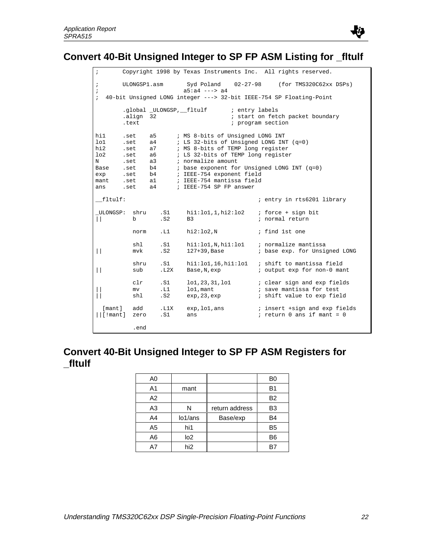

## **Convert 40-Bit Unsigned Integer to SP FP ASM Listing for \_fltulf**

; Copyright 1998 by Texas Instruments Inc. All rights reserved. ; ULONGSP1.asm Syd Poland 02-27-98 (for TMS320C62xx DSPs) ; a5:a4 ---> a4 ; 40-bit Unsigned LONG integer ---> 32-bit IEEE-754 SP Floating-Point .global \_ULONGSP,\_\_fltulf ; entry labels .align 32 ; start on fetch packet boundary<br>text ; program section : program section hil .set a5 ; MS 8-bits of Unsigned LONG INT lo1 .set a4 ; LS 32-bits of Unsigned LONG INT (q=0) hi2 .set a7 ; MS 8-bits of TEMP long register lo2 .set a6 ; LS 32-bits of TEMP long register<br>
N .set a3 ; normalize amount<br>
Base .set b4 ; base exponent for Unsigned LONG<br>
exp .set b4 ; IEEE-754 exponent field N .set a3 ; normalize amount Base .set b4 ; base exponent for Unsigned LONG INT (q=0) exp .set b4 ; IEEE-754 exponent field mant .set al ; IEEE-754 mantissa field ans .set a4 ; IEEE-754 SP FP answer \_\_fltulf: ; entry in rts6201 library \_ULONGSP: shru .S1 hi1:lo1,1,hi2:lo2 ; force + sign bit b .S2 B3 : normal return norm .L1 hi2:lo2,N ; find 1st one shl .S1 hi1:lo1,N,hi1:lo1 ; normalize mantissa || mvk .S2 127+39,Base ; base exp. for Unsigned LONG shru .S1 hi1:lo1,16,hi1:lo1 ; shift to mantissa field<br>sub .L2X Base,N,exp ; output exp for non-0 man || sub .L2X Base,N,exp ; output exp for non-0 mant clr .S1 lo1,23,31,1o1 ; clear sign and exp fields<br>mv .L1 lo1,mant ; save mantissa for test || mv .L1 lo1,mant ; save mantissa for test || shl .S2 exp, 23, exp ; shift value to exp field [mant] add .L1X exp,lo1,ans ; insert +sign and exp fields ||[!mant] zero .S1 ans  $\qquad \qquad$  ; return 0 ans if mant = 0  $;$  return 0 ans if mant = 0 .end

## **Convert 40-Bit Unsigned Integer to SP FP ASM Registers for \_fltulf**

| A0             |                      |                | B0             |
|----------------|----------------------|----------------|----------------|
| A <sub>1</sub> | mant                 |                | B <sub>1</sub> |
| A2             |                      |                | <b>B2</b>      |
| A3             | N                    | return address | B <sub>3</sub> |
| A4             | lo <sub>1</sub> /ans | Base/exp       | B <sub>4</sub> |
| A <sub>5</sub> | hi1                  |                | B <sub>5</sub> |
| A6             | log <sub>2</sub>     |                | B <sub>6</sub> |
| A7             | hi <sub>2</sub>      |                | B.             |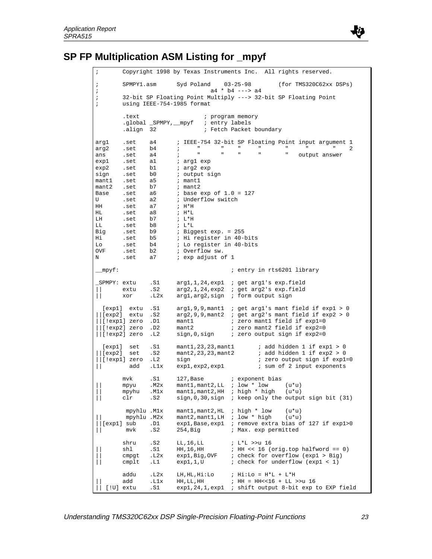

## **SP FP Multiplication ASM Listing for \_mpyf**

```
; Copyright 1998 by Texas Instruments Inc. All rights reserved.
; SPMPY1.asm Syd Poland 03-25-98 (for TMS320C62xx DSPs)
at the community of the set of the set of the set of the set of the set of the set of the set of the set of th<br>is 32-bit SP Floating Point Multiply ---> 32-
       ; 32-bit SP Floating Point Multiply ---> 32-bit SP Floating Point
; using IEEE-754-1985 format
.text \qquad \qquad ; \qquad \qquad program memory
 .global _SPMPY,__mpyf ; entry labels
.align 32 i Fetch Packet boundary
arg1 .set a4 ; IEEE-754 32-bit SP Floating Point input argument 1
arg2 .set b4 ; " " " " " " " 2
ans .set a4 ; " " " " " output answer
exp1 .set al i arg1 exp<br>
exp2 .set b1 i arg2 exp
exp2 .set b1 i arg2 exp
sign .set b0 i output sign
mant1 .set a5 ; mant1
mant2 .set b7<br>Base .set a6<br>U .set a2
Base .set a6 i base exp of 1.0 = 127U .set a2 ; Underflow switch
HH .set a7<br>HL .set a8<br>LH .set b7
HL .set a8 ; H*L
LH .set b7 ; L*H
LL .set b8 ; L*L<br>Big .set b9 ; Bigg
             Big .set b9 ; Biggest exp. = 255
Hi .set b5 ; Hi register in 40-bits
Lo .set b4 ; Lo register in 40-bits
OVF .set b2 ; Overflow sw.
N .set a7 i exp adjust of 1
__mpyf: ; entry in rts6201 library
_SPMPY: extu .S1 arg1,1,24,exp1 ; get arg1's exp.field
|| extu .S2 arg2,1,24,exp2 ; get arg2's exp.field
      || xor .L2x arg1,arg2,sign ; form output sign
 [exp1] extu .S1 arg1,9,9,mant1 ; get arg1's mant field if exp1 > 0
||[exp2] extu .S2 arg2,9,9,mant2 ; get arg2's mant field if exp2 > 0
||[!exp1] zero .D1 mant1 ; zero mant1 field if exp1=0
||[!exp2] zero .D2 mant2 ; zero mant2 field if exp2=0
||[!exp2] zero .L2 sign,0,sign ; zero output sign if exp2=0
 [exp1] set .S1 mant1,23,23,mant1 ; add hidden 1 if exp1 > 0
\vert\vert [exp2] set .S2 mant2, 23, 23, mant2 ; add hidden 1 if exp2 > 0
||[!exp1] zero .L2 sign ; zero output sign if exp1=0
       add .L1x exp1, exp2, exp1 ; sum of 2 input exponents
      mvk .S1 127, Base ; exponent bias
|| mpyu .M2x mant1,mant2,LL ; low * low (u*u)
|| mpyhu .M1x mant1,mant2,HH ; high * high (u*u)
|| clr .S2 sign,0,30,sign ; keep only the output sign bit (31)
        mpyhlu .M1x mant1,mant2,HL ; high * low (u*u)
|| mpyhlu .M2x mant2,mant1,LH ; low * high (u*u)
                     exp1, Base, exp1 ; remove extra bias of 127 if exp1>0<br>254, Big
; Max. exp permitted
|| mvk .S2 254,Big ; Max. exp permitted
 shru .S2 LL,16,LL ; L*L >>u 16
|| shl .S1 HH,16,HH ; HH << 16 (orig.top halfword == 0)
       expl,Big,OVF ; check for overflow (expl > Big)<br>
cmpgt .L2x expl,Big,OVF ; check for overflow (expl > Big)<br>
cmplt .L1 expl,1,U ; check for underflow (expl < 1)
              \text{L1} exp1,1,U ; check for underflow (exp1 < 1)
       addu .L2x LH,HL,Hi:Lo ; Hi:Lo = H*L + L*H
                                    \; ; HH = HH<<16 + LL >>u 16
  || [!U] extu .S1 exp1,24,1,exp1 ; shift output 8-bit exp to EXP field
```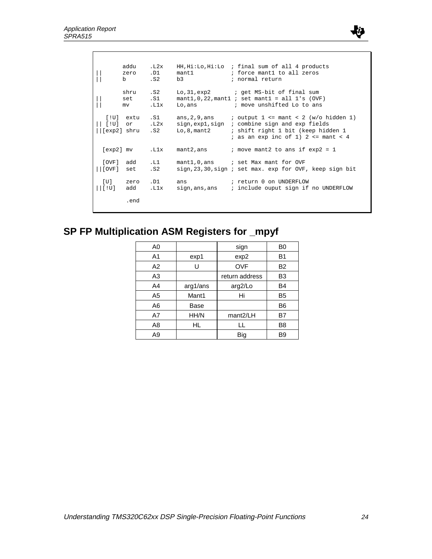|                                                            | addu<br>zero .D1<br>b               | .L2x<br>.S2 | mant1<br>b3                                                                         | HH, Hi:Lo, Hi:Lo ; final sum of all 4 products<br>; force mantl to all zeros<br>; normal return                                                                               |
|------------------------------------------------------------|-------------------------------------|-------------|-------------------------------------------------------------------------------------|-------------------------------------------------------------------------------------------------------------------------------------------------------------------------------|
|                                                            | shru .S2<br>set .S1<br>$mv$ and $v$ | .Llx        |                                                                                     | Lo, 31, exp2 ; get MS-bit of final sum<br>$mant1, 0, 22, mant1$ ; set mant1 = all 1's (OVF)<br>Lo, ans $\qquad \qquad ; \text{ move unshifted to to ans}$                     |
|                                                            | [exp2] shru .S2                     |             | $[!U]$ extu .S1 ans, 2, 9, ans<br>[!U] or .L2x sign,expl,sign<br>Lo, $8$ , mant $2$ | <i>i</i> output $1 \le \text{mant} \le 2$ (w/o hidden 1)<br>; combine sign and exp fields<br>; shift right 1 bit (keep hidden 1<br>; as an exp inc of 1) $2 \le$ mant $\le$ 4 |
|                                                            | [exp2] mv .Llx                      |             | mant2,ans                                                                           | ; move mant2 to ans if $exp2 = 1$                                                                                                                                             |
| $  $ [ $\overline{OVF}$ ]                                  | [OVF] add .L1<br>set                | .S2         |                                                                                     | mant1,0,ans ; set Max mant for OVF<br>sign, 23, 30, sign; set max. exp for OVF, keep sign bit                                                                                 |
| $\lfloor \lfloor \lfloor \cdot \mathrm{U} \rfloor \rfloor$ | $[U]$ zero $.D1$<br>add             | .L1x        | ans<br>sign,ans,ans                                                                 | ; return 0 on UNDERFLOW<br>; include ouput sign if no UNDERFLOW                                                                                                               |
|                                                            | .end                                |             |                                                                                     |                                                                                                                                                                               |

# **SP FP Multiplication ASM Registers for \_mpyf**

| A0             |          | sign                  | B0             |
|----------------|----------|-----------------------|----------------|
| A <sub>1</sub> | exp1     | exp2                  | B <sub>1</sub> |
| A2             | U        | <b>OVF</b>            | <b>B2</b>      |
| A3             |          | return address        | B <sub>3</sub> |
| A4             | arg1/ans | arg2/Lo               | B4             |
| A5             | Mant1    | Hi                    | B <sub>5</sub> |
| A6             | Base     |                       | B <sub>6</sub> |
| A7             | HH/N     | mant <sub>2</sub> /LH | B7             |
| A8             | HL       | LL                    | B8             |
| A9             |          | Big                   | B <sub>9</sub> |

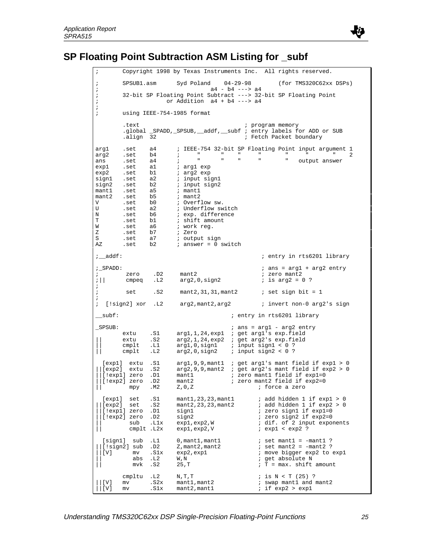

## **SP Floating Point Subtraction ASM Listing for \_subf**

Copyright 1998 by Texas Instruments Inc. All rights reserved.  $;$  SPSUB1.asm Syd Poland  $04-29-98$  (for TMS320C62xx DSPs)<br> $;$  a4 - b4 ---> a4 %;<br>
SPSUB1.asm Syd Poland 04-29-98<br>
;<br>
32-bit SP Floating Point Subtract ---> 32-b ; 32-bit SP Floating Point Subtract ---> 32-bit SP Floating Point ; or Addition a4 + b4 ---> a4 ; using IEEE-754-1985 format .text  $\qquad \qquad ; \text{ program memory}$  .global \_SPADD,\_SPSUB,\_\_addf,\_\_subf ; entry labels for ADD or SUB .align 32 **incremental intervals of the Caucal** intervals of Fetch Packet boundary arg1 .set a4 ; IEEE-754 32-bit SP Floating Point input argument 1<br>arg2 .set b4 ; " " " " " " " " " " 2 arg2 .set b4 ; " " " " " " " 2 arg1 .set a1<br>arg2 .set b4 ; "<br>ans .set a4 ; " ans .set a4 ; "<br>exp1 .set a1 ; arg1 exp<br>exp2 .set b1 ; arg2 exp exp2 .set b1 ; arg2 exp<br>sign1 .set a2 ; input si sign1 .set a2 ; input sign1<br>sign2 .set b2 ; input sign2 sign2 .set b2 ; input sign2 mant1 .set a5 ; mant1 mant2 .set b5 ; mant2 V .set b0 ; Overflow sw. U .set a2 *;* Underflow switch N .set b6 *;* exp. difference T .set b1 ; shift amount W .set a6 ; work reg. Z .set b7 *;* Zero S .set a7 *i* output sign AZ .set b2 ; answer = 0 switch ;\_\_addf: ; entry in rts6201 library  $i$ \_SPADD:<br> $i$  ans = arg1 + arg2 entry<br> $i$  are arg1 + arg2 entry<br> $i$  zero mant2  $i$  zero mant2 ;  $zero$  .D2 mant2 ;  $zero$  mant2<br>
;  $\vert \vert$  cmpeq .L2 arg2,0,sign2 ; is arg2 = 0 ? arg2,0,sign2 ; ; set .S2 mant2,31,31,mant2 ; set sign bit = 1 ; ; [!sign2] xor .L2 arg2, mant2, arg2 ; invert non-0 arg2's sign \_\_subf: ; entry in rts6201 library \_SPSUB: ; ans = arg1 - arg2 entry extu .S1 arg1,1,24,exp1 ; get arg1's exp.field<br>extu .S2 arg2,1,24,exp2 ; get arg2's exp.field<br>cmplt .L1 arg1,0,sign1 ; input sign1 < 0 ? || extu .S2 arg2,1,24,exp2 ; get arg2's exp.field || cmplt .L1 arg1,0,sign1 ; input sign1 < 0 ? || cmplt .L2 arg2,0,sign2 ; input sign2 < 0 ? [exp1] extu .S1 arg1,9,9,mant1 ; get arg1's mant field if exp1 > 0 ||[exp2] extu .S2 arg2,9,9,mant2 ; get arg2's mant field if exp2 > 0 ||[!exp1] zero .D1 mant1 ; zero mant1 field if exp1=0 ||[!exp2] zero .D2 mant2 ; zero mant2 field if exp2=0 ; force a zero [exp1] set .S1 mant1,23,23,mant1 ; add hidden 1 if exp1 > 0  $\vert\,\vert$  [exp2] set .S2 mant2, 23, 23, mant2 ; add hidden 1 if exp2 > 0 ||[!exp1] zero .D1 sign1 ; zero sign1 if exp1=0 ||[!exp2] zero .D2 sign2 ; zero sign2 if exp2=0 | sub .L1x exp1,exp2,W ; dif. of 2 inp<br>| cmp1t .L2x exp1,exp2,V ; exp1 < exp2 ?  $cmplt$  .L2x  $exp1,exp2,V$  $[sign1]$  sub .L1 0, mant1, mant1 ; set mant1 = -mant1 ? ||[!sign2] sub .D2  $\qquad$  Z,mant2,mant2  $\qquad$  ; set mant2 = -mant2 ? | [V] mv .S1x exp2, exp1 ; move bigger exp2 to exp1 abs .L2  $W$ , N ; get absolute N mvk .S2 25, T ; T = max. shift amount || abs .L2 W,N ; get absolute N || mvk  $.S2$   $25,T$  ; T = max. shift amount cmpltu .L2 N,T,T ; is N < T (25) ?  $|V|$  mv .S2x mant1, mant2 ; swap mant1 and mant2<br> $|V|$  mv .S1x mant2, mant1 ; if exp2 > exp1  $;$  if  $exp2 > exp1$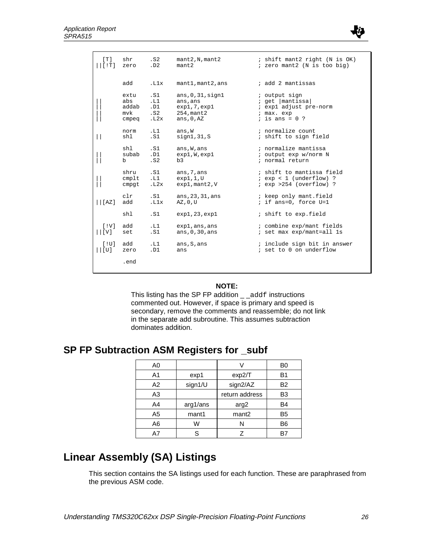

| [T]                                  | shr      | .S2  | mant2,N, mant2        | ; shift mant2 right (N is OK) |
|--------------------------------------|----------|------|-----------------------|-------------------------------|
| [!T]                                 | zero     | .D2  | mant2                 | ; zero mant2 (N is too big)   |
|                                      | add      | .L1x | mant1, mant2, ans     | ; add 2 mantissas             |
|                                      | extu     | .S1  | ans, 0, 31, signal    | ; output sign                 |
|                                      | abs      | .L1  | ans, ans              | ; get   mantissa              |
|                                      | addab    | .D1  | exp1, 7, exp1         | ; expl adjust pre-norm        |
|                                      | mvk      | .S2  | $254$ , mant $2$      | ; max. exp                    |
|                                      | cmpeq    | .L2x | ans, $0, AZ$          | ; is ans = $0$ ?              |
| $\vert \ \vert$                      | norm     | .L1  | ans, W                | ; normalize count             |
|                                      | shl      | .S1  | sign1, 31, S          | ; shift to sign field         |
|                                      | shl      | .S1  | ans, W, ans           | ; normalize mantissa          |
|                                      | subab    | .D1  | exp1, W, exp1         | ; output exp w/norm N         |
|                                      | b        | . S2 | b3                    | ; normal return               |
|                                      | shru     | .S1  | ans, 7, ans           | ; shift to mantissa field     |
|                                      | $cm$ plt | .L1  | exp1,1,0              | $i$ exp < 1 (underflow) ?     |
|                                      | cmpgt    | .L2x | $exp1$ , mant $2$ , V | $i$ exp > 254 (overflow) ?    |
|                                      | clr      | .S1  | ans, 23, 31, ans      | ; keep only mant.field        |
|                                      | add      | .L1x | AZ, 0, U              | ; if ans=0, force $U=1$       |
|                                      | shl      | .S1  | exp1,23,exp1          | ; shift to exp.field          |
| [IV]                                 | add      | .L1  | exp1, ans, ans        | ; combine exp/mant fields     |
| $\lfloor \lfloor \mathrm{V} \rfloor$ | set      | .S1  | ans, $0, 30$ , ans    | ; set max exp/mant=all 1s     |
| [10]                                 | add      | .L1  | ans, S, ans           | ; include sign bit in answer  |
| $\vert\,\vert$ [U]                   | zero     | .D1  | ans                   | ; set to 0 on underflow       |
|                                      | .end     |      |                       |                               |

#### **NOTE:**

This listing has the SP FP addition  $\_$   $\_$  addf instructions commented out. However, if space is primary and speed is secondary, remove the comments and reassemble; do not link in the separate add subroutine. This assumes subtraction dominates addition.

## **SP FP Subtraction ASM Registers for \_subf**

| A <sub>0</sub> |          |                   | B <sub>0</sub> |
|----------------|----------|-------------------|----------------|
| A1             | exp1     | exp2/T            | B1             |
| A2             | sign1/U  | sign2/AZ          | <b>B2</b>      |
| A <sub>3</sub> |          | return address    | B <sub>3</sub> |
| A4             | arg1/ans | arg2              | B4             |
| A <sub>5</sub> | mant1    | mant <sub>2</sub> | B <sub>5</sub> |
| A6             | W        | N                 | B <sub>6</sub> |
| Α7             | ς        | 7                 |                |

## **Linear Assembly (SA) Listings**

This section contains the SA listings used for each function. These are paraphrased from the previous ASM code.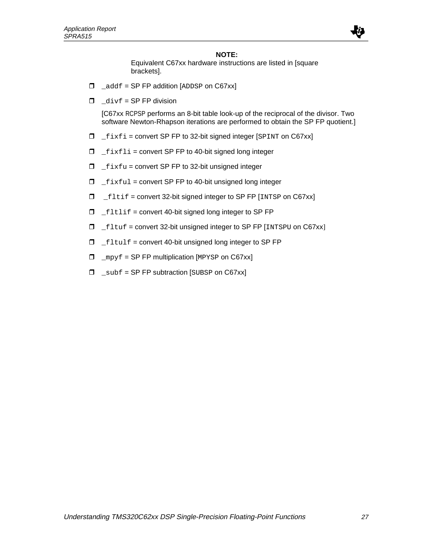

#### **NOTE:**

Equivalent C67xx hardware instructions are listed in [square brackets].

- $\Box$  \_addf = SP FP addition [ADDSP on C67xx]
- $\Box$   $div f = SP FP$  division

[C67xx RCPSP performs an 8-bit table look-up of the reciprocal of the divisor. Two software Newton-Rhapson iterations are performed to obtain the SP FP quotient.]

- $I_{\text{first}}$  = convert SP FP to 32-bit signed integer [SPINT on C67xx]
- $I_{\text{first}}$  = convert SP FP to 40-bit signed long integer
- $I_{\text{first}}$  = convert SP FP to 32-bit unsigned integer
- $I_{\text{firstul}}$  = convert SP FP to 40-bit unsigned long integer
- $I_{\text{left}}$  = convert 32-bit signed integer to SP FP [INTSP on C67xx]
- $I_{\text{rel}}$   $\Box$   $I_{\text{rel}}$  = convert 40-bit signed long integer to SP FP
- $\Box$  \_fltuf = convert 32-bit unsigned integer to SP FP [INTSPU on C67xx]
- $I_{\text{rel}}$   $\Box$   $I_{\text{rel}}$  = convert 40-bit unsigned long integer to SP FP
- $\Box$  \_mpyf = SP FP multiplication [MPYSP on C67xx]
- $\Box$  \_subf = SP FP subtraction [SUBSP on C67xx]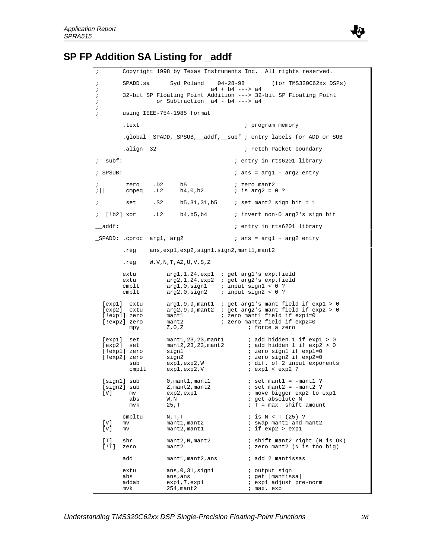

# **SP FP Addition SA Listing for \_addf**

| $\ddot{i}$                      |                                                                          |                                                                                           | Copyright 1998 by Texas Instruments Inc. All rights reserved.                                                                                                                                                  |
|---------------------------------|--------------------------------------------------------------------------|-------------------------------------------------------------------------------------------|----------------------------------------------------------------------------------------------------------------------------------------------------------------------------------------------------------------|
| $\ddot{\phantom{0}}$<br>$\cdot$ | SPADD.sa                                                                 | Syd Poland                                                                                | $04 - 28 - 98$<br>(for TMS320C62xx DSPs)<br>$a4 + b4$ ---> $a4$                                                                                                                                                |
| $\cdot$<br>$\cdot$              |                                                                          | or Subtraction a4 - b4 ---> a4                                                            | 32-bit SP Floating Point Addition ---> 32-bit SP Floating Point                                                                                                                                                |
| ï<br>$\cdot$                    |                                                                          | using IEEE-754-1985 format                                                                |                                                                                                                                                                                                                |
|                                 | .text                                                                    |                                                                                           | ; program memory                                                                                                                                                                                               |
|                                 |                                                                          |                                                                                           | .global _SPADD, _SPSUB, __addf, __subf ; entry labels for ADD or SUB                                                                                                                                           |
|                                 | align 32.                                                                |                                                                                           | ; Fetch Packet boundary                                                                                                                                                                                        |
| ;_subf:                         |                                                                          |                                                                                           | ; entry in rts6201 library                                                                                                                                                                                     |
| ; SPSUB:                        |                                                                          |                                                                                           | $i$ ans = arg1 - arg2 entry                                                                                                                                                                                    |
| ÷<br>$\frac{1}{2}$              | . D2<br>zero<br>.L2<br>cmpeq                                             | b5<br>b4,0,b2                                                                             | ; zero mant2<br>; is arg2 = $0$ ?                                                                                                                                                                              |
| i.                              | . S2<br>set                                                              |                                                                                           | $b5, 31, 31, b5$ ; set mant2 sign bit = 1                                                                                                                                                                      |
|                                 | ; [!b2] xor .L2                                                          | b4, b5, b4                                                                                | ; invert non-0 arg2's sign bit                                                                                                                                                                                 |
| $\_addf$ :                      |                                                                          |                                                                                           | ; entry in rts6201 library                                                                                                                                                                                     |
|                                 | _SPADD: .cproc argl, arg2                                                |                                                                                           | $: ans = arg1 + arg2 entry$                                                                                                                                                                                    |
|                                 |                                                                          | .reg ans, expl, exp2, sign1, sign2, mant1, mant2                                          |                                                                                                                                                                                                                |
|                                 | .reg                                                                     | W, V, N, T, AZ, U, V, S, Z                                                                |                                                                                                                                                                                                                |
|                                 | extu<br>extu<br>cmplt<br>cmplt                                           |                                                                                           | $arg1, 1, 24, exp1$ ; get $arg1's exp.field$<br>$arg2, 1, 24, exp2$ ; get $arg2's$ exp.field<br>$arg1, 0, sign1$ ; input sign1 < 0 ?<br>$arg2, 0, sign2$ ; input $sign2 < 0$ ?                                 |
|                                 | [exp1] extu<br>[exp2] extu<br>[!expl] zero<br>[!exp2] zero<br>mpy        | mant1<br>mant2<br>Z, 0, Z                                                                 | $arg1, 9, 9,$ mantl ; get $arg1$ 's mant field if $exp1 > 0$<br>$arg2, 9, 9,$ mant2 ; get $arg2$ 's mant field if $exp2 > 0$<br>; zero mantl field if expl=0<br>; zero mant2 field if exp2=0<br>; force a zero |
|                                 | [exp1] set<br>[exp2] set<br>[!expl] zero<br>[!exp2] zero<br>sub<br>cmplt | mant1,23,23,mant1<br>mant2, 23, 23, mant2<br>signl<br>sign2<br>exp1,exp2,W<br>exp1,exp2,V | ; add hidden 1 if exp1 > 0<br>; add hidden 1 if exp2 > 0<br>; zero signl if expl=0<br>; zero sign2 if exp2=0<br>i dif. of 2 input exponents<br>$i$ expl < exp2 ?                                               |
| [V]                             | [sign1] sub<br>[sign2] sub<br>mv<br>abs<br>mvk                           | $0$ , mant $1$ , mant $1$<br>Z, mant2, mant2<br>exp2,exp1<br>W, N<br>25, T                | $:$ set mantl = $-mant1$ ?<br>$:$ set mant2 = $-mant2$ ?<br>; move bigger exp2 to exp1<br>; get absolute N<br>$T = max.$ shift amount                                                                          |
| [v]<br>[v]                      | cmpltu<br>mv<br>mv                                                       | N, T, T<br>mant1, mant2<br>mant2, mant1                                                   | $i$ is $N < T$ (25) ?<br>; swap mant1 and mant2<br>$i$ if $exp2 > exp1$                                                                                                                                        |
| [T]<br>[!T]                     | shr<br>zero                                                              | mant2,N, mant2<br>mant2                                                                   | ; shift mant2 right (N is OK)<br>; zero mant2 (N is too big)                                                                                                                                                   |
|                                 | add                                                                      | mant1, mant2, ans                                                                         | ; add 2 mantissas                                                                                                                                                                                              |
|                                 | extu<br>abs<br>addab<br>mvk                                              | ans, 0, 31, sign1<br>ans, ans<br>exp1, 7, exp1<br>254, mant 2                             | ; output sign<br>; get  mantissa <br>; expl adjust pre-norm<br>; max. exp                                                                                                                                      |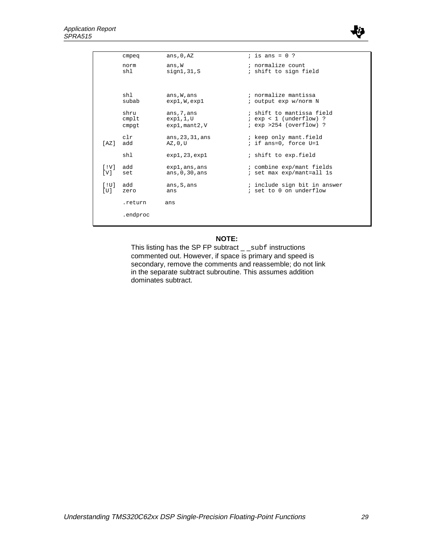

|                                | cmpeq    | ans, $0, AZ$          | ; is ans = $0$ ?             |
|--------------------------------|----------|-----------------------|------------------------------|
|                                | norm     | ans, W                | ; normalize count            |
|                                | sh1      | sign1, 31, S          | ; shift to sign field        |
|                                |          |                       |                              |
|                                | shl      | ans, W, ans           | ; normalize mantissa         |
|                                | subab    | exp1, W, exp1         | ; output exp w/norm N        |
|                                | shru     | ans, 7, ans           | ; shift to mantissa field    |
|                                | cmplt    | exp1,1,U              | $i$ exp < 1 (underflow) ?    |
|                                | cmpqt    | $exp1$ , mant $2$ , V | $i$ exp >254 (overflow) ?    |
|                                | c1r      | ans, 23, 31, ans      | ; keep only mant.field       |
| [AZ]                           | add      | AZ, 0, U              | ; if ans=0, force U=1        |
|                                | shl      | exp1,23,exp1          | ; shift to exp.field         |
| $\lceil$ !V ]                  | add      | exp1, ans, ans        | ; combine exp/mant fields    |
| [V]                            | set      | ans, $0, 30$ , ans    | ; set max exp/mant=all 1s    |
| $\lceil \cdot \text{U} \rceil$ | add      | ans, S, ans           | ; include sign bit in answer |
| [U]                            | zero     | ans                   | ; set to 0 on underflow      |
|                                | .return  | ans                   |                              |
|                                | .endproc |                       |                              |
|                                |          |                       |                              |
|                                |          |                       |                              |

#### **NOTE:**

This listing has the SP FP subtract \_ \_subf instructions commented out. However, if space is primary and speed is secondary, remove the comments and reassemble; do not link in the separate subtract subroutine. This assumes addition dominates subtract.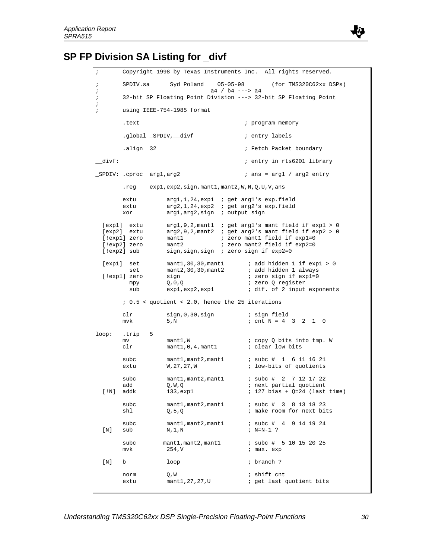

# **SP FP Division SA Listing for \_divf**

| $\ddot{i}$                                                          |                                                                                                                                                                                                                                                                                                                                       | Copyright 1998 by Texas Instruments Inc. All rights reserved.                                                                                                                 |  |  |  |  |  |
|---------------------------------------------------------------------|---------------------------------------------------------------------------------------------------------------------------------------------------------------------------------------------------------------------------------------------------------------------------------------------------------------------------------------|-------------------------------------------------------------------------------------------------------------------------------------------------------------------------------|--|--|--|--|--|
| ï<br>$\cdot$                                                        | SPDIV.sa                                                                                                                                                                                                                                                                                                                              | Syd Poland 05-05-98<br>(for TMS320C62xx DSPs)<br>$a4 / b4$ ---> $a4$<br>32-bit SP Floating Point Division ---> 32-bit SP Floating Point                                       |  |  |  |  |  |
| ï<br>$\cdot$                                                        |                                                                                                                                                                                                                                                                                                                                       |                                                                                                                                                                               |  |  |  |  |  |
| $\mathbf{i}$                                                        |                                                                                                                                                                                                                                                                                                                                       | using IEEE-754-1985 format                                                                                                                                                    |  |  |  |  |  |
|                                                                     | .text                                                                                                                                                                                                                                                                                                                                 | ; program memory                                                                                                                                                              |  |  |  |  |  |
|                                                                     |                                                                                                                                                                                                                                                                                                                                       | .global _SPDIV, __divf<br>; entry labels                                                                                                                                      |  |  |  |  |  |
|                                                                     | align 32.                                                                                                                                                                                                                                                                                                                             | ; Fetch Packet boundary                                                                                                                                                       |  |  |  |  |  |
| divf:                                                               |                                                                                                                                                                                                                                                                                                                                       | ; entry in rts6201 library                                                                                                                                                    |  |  |  |  |  |
|                                                                     |                                                                                                                                                                                                                                                                                                                                       | _SPDIV: .cproc arg1,arg2<br>$:$ ans = argl / arg2 entry                                                                                                                       |  |  |  |  |  |
|                                                                     | .reg                                                                                                                                                                                                                                                                                                                                  | expl,exp2,sign,mant1,mant2,W,N,Q,U,V,ans                                                                                                                                      |  |  |  |  |  |
|                                                                     | extu                                                                                                                                                                                                                                                                                                                                  | $arg1, 1, 24, exp1$ ; get $arg1's exp.field$                                                                                                                                  |  |  |  |  |  |
|                                                                     | extu<br>xor                                                                                                                                                                                                                                                                                                                           | $arg2, 1, 24, exp2$ ; get $arg2's$ exp.field<br>$arg1, arg2, sign$ ; output sign                                                                                              |  |  |  |  |  |
|                                                                     | $arg1, 9, 2,$ mant1 ; get $arg1$ 's mant field if $exp1 > 0$<br>[exp1] extu<br>$arg2, 9, 2,$ mant2 ; get $arg2$ 's mant field if $exp2 > 0$<br>[exp2] extu<br>; zero mant1 field if exp1=0<br>[!expl] zero<br>mant1<br>[!exp2] zero<br>; zero mant2 field if exp2=0<br>mant2<br>[!exp2] sub<br>sign, sign, sign ; zero sign if exp2=0 |                                                                                                                                                                               |  |  |  |  |  |
|                                                                     | $\text{mant1, 30, 30, mant1}$ ; add hidden 1 if $\exp 1 > 0$<br>[exp1] set<br>mant2, 30, 30, mant2<br>; add hidden 1 always<br>set<br>; zero sign if expl=0<br>[!expl] zero<br>sign<br>; zero Q register<br>Q, 0, Q<br>mpy<br>; dif. of 2 input exponents<br>sub                                                                      |                                                                                                                                                                               |  |  |  |  |  |
| exp1,exp2,exp1<br>$: 0.5 <$ quotient < 2.0, hence the 25 iterations |                                                                                                                                                                                                                                                                                                                                       |                                                                                                                                                                               |  |  |  |  |  |
|                                                                     | clr<br>mvk                                                                                                                                                                                                                                                                                                                            | sign,0,30,sign<br>; sign field<br>$:$ cnt N = 4 3 2 1<br>5,N<br>$\overline{\phantom{0}}$                                                                                      |  |  |  |  |  |
| loop:                                                               | .trip<br>mv<br>clr                                                                                                                                                                                                                                                                                                                    | 5<br>mant1, W<br>; copy Q bits into tmp. W<br>mant1, 0, 4, mant1<br>; clear low bits                                                                                          |  |  |  |  |  |
|                                                                     | subc<br>extu                                                                                                                                                                                                                                                                                                                          | mant1,mant2,mant1<br>; subc # 1 6 11 16 21<br>W, 27, 27, W<br>; low-bits of quotients                                                                                         |  |  |  |  |  |
| [!N]                                                                | subc<br>add<br>addk                                                                                                                                                                                                                                                                                                                   | 2 7 12 17 22<br>mant1, mant2, mant1<br>; subc #<br>$\mathbb Q$ , $\mathbb W$ , $\mathbb Q$<br>; next partial quotient<br>133, exp1<br>$: 127 \text{ bias} + Q=24$ (last time) |  |  |  |  |  |
|                                                                     | subc<br>shl                                                                                                                                                                                                                                                                                                                           | mant1, mant2, mant1<br>$:$ subc # 3 8 13 18 23<br>; make room for next bits<br>Q, 5, Q                                                                                        |  |  |  |  |  |
| [N]                                                                 | subc<br>sub                                                                                                                                                                                                                                                                                                                           | ; subc # 4 9 14 19 24<br>mant1, mant2, mant1<br>N, 1, N<br>$: N=N-1$ ?                                                                                                        |  |  |  |  |  |
|                                                                     | subc<br>mvk                                                                                                                                                                                                                                                                                                                           | mant1, mant2, mant1<br>$:$ subc # 5 10 15 20 25<br>254, V<br>; max. exp                                                                                                       |  |  |  |  |  |
| $\left[\!\left[\,\mathrm{N}\,\right]\!\right]$                      | b                                                                                                                                                                                                                                                                                                                                     | ; branch ?<br>loop                                                                                                                                                            |  |  |  |  |  |
|                                                                     | norm<br>extu                                                                                                                                                                                                                                                                                                                          | ; shift cnt<br>Q,W<br>; get last quotient bits<br>mant1,27,27,U                                                                                                               |  |  |  |  |  |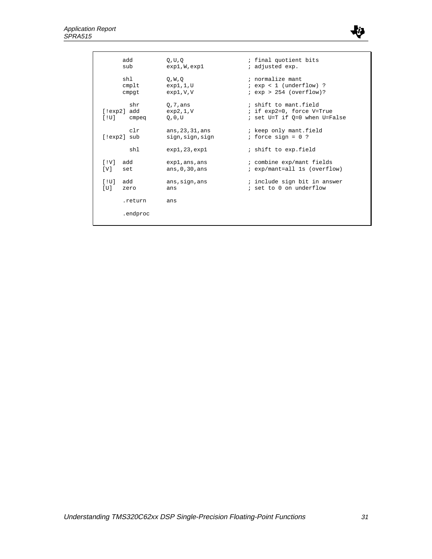

| add<br>sub                             | 0, U, 0<br>exp1, W, exp1             | ; final quotient bits<br>; adjusted exp.                                            |
|----------------------------------------|--------------------------------------|-------------------------------------------------------------------------------------|
| shl<br>$cm$ plt<br>cmpqt               | O, W, O<br>exp1,1,U<br>exp1, V, V    | ; normalize mant<br>$i$ exp < 1 (underflow) ?<br>$i$ exp > 254 (overflow)?          |
| shr<br>[!exp2] add<br>[10]<br>cmpeg    | $0,7$ , ans<br>exp2,1, V<br>0,0,U    | ; shift to mant field<br>; if exp2=0, force V=True<br>; set U=T if O=0 when U=False |
| $\operatorname{cl} r$<br>$[!exp2]$ sub | ans, 23, 31, ans<br>sign, sign, sign | ; keep only mant.field<br>; force $sign = 0$ ?                                      |
| shl                                    | exp1,23,exp1                         | ; shift to exp.field                                                                |
| $\lceil$ !V ]<br>add<br>[V]<br>set     | exp1, ans, ans<br>ans, $0, 30$ , ans | ; combine exp/mant fields<br>; exp/mant=all 1s (overflow)                           |
| [!U]<br>add<br>[U]<br>zero             | ans, sign, ans<br>ans                | ; include sign bit in answer<br>; set to 0 on underflow                             |
| .return                                | ans                                  |                                                                                     |
| .endproc                               |                                      |                                                                                     |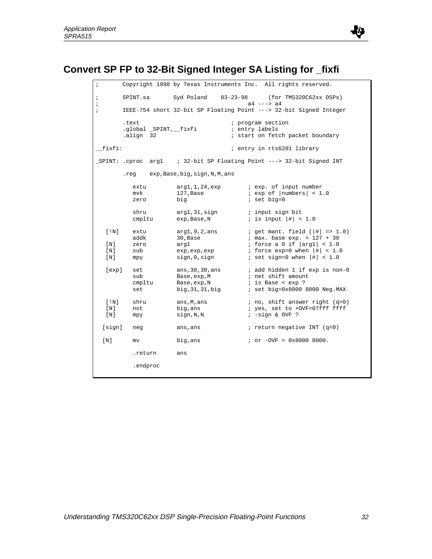

# **Convert SP FP to 32-Bit Signed Integer SA Listing for \_fixfi**

| ï                                  |                                    | Copyright 1998 by Texas Instruments Inc. All rights reserved.         |                |                                                                                                                                                                                              |  |
|------------------------------------|------------------------------------|-----------------------------------------------------------------------|----------------|----------------------------------------------------------------------------------------------------------------------------------------------------------------------------------------------|--|
| $\cdot$<br>$\mathbf{\dot{.}}$      | SPINT.sa                           | Syd Poland                                                            |                | 03-23-98 (for TMS320C62xx DSPs)<br>$a4$ ---> $a4$                                                                                                                                            |  |
| ï                                  |                                    | IEEE-754 short 32-bit SP Floating Point ---> 32-bit Signed Integer    |                |                                                                                                                                                                                              |  |
|                                    | .text<br>align 32.                 | .global _SPINT,__fixfi                                                | ; entry labels | ; program section<br>; start on fetch packet boundary                                                                                                                                        |  |
| fixfi:                             |                                    |                                                                       |                | ; entry in rts6201 library                                                                                                                                                                   |  |
|                                    |                                    | _SPINT: .cproc arg1 : 32-bit SP Floating Point ---> 32-bit Signed INT |                |                                                                                                                                                                                              |  |
|                                    |                                    | .reg exp, Base, big, sign, N, M, ans                                  |                |                                                                                                                                                                                              |  |
|                                    | extu<br>mvk<br>zero                | arg1,1,24,exp<br>127,Base<br>big                                      |                | <i>i</i> exp. of input number<br>$i$ exp of $ numbers  < 1.0$<br>$i$ set big=0                                                                                                               |  |
|                                    | shru<br>cmpltu                     | argl, 31, sign<br>exp, Base, N                                        |                | ; input sign bit<br>; is input $ \#  < 1.0$                                                                                                                                                  |  |
| $[$ !N]<br>[ N ]<br>[ N ]<br>[ N ] | extu<br>addk<br>zero<br>sub<br>mpy | arg1, 9, 2, ans<br>30,Base<br>arq1<br>exp, exp, exp<br>sign, 0, sign  |                | ; get mant. field $( \# $ => 1.0)<br>$: max. base exp. = 127 + 30$<br>; force a 0 if $\vert \text{arg1} \vert < 1.0$<br>; force $\exp=0$ when $ \#  < 1.0$<br>; set sign=0 when $ \#  < 1.0$ |  |
| [exp]                              | set<br>sub<br>cmpltu<br>set        | ans, 30, 30, ans<br>Base, exp, M<br>Base, exp, N<br>big, 31, 31, big  |                | ; add hidden 1 if exp is non-0<br>; net shift amount<br>; is Base < exp ?<br>; set big=0x8000 0000 Neg.MAX                                                                                   |  |
| [!N]<br>[N]<br>[ N ]               | shru<br>not<br>mpy                 | ans,M,ans<br>big,ans<br>sign,N,N                                      |                | $: no, shift answer right (q=0)$<br>; yes, set to +OVF=07fff ffff<br>$: -sign & OVF$ ?                                                                                                       |  |
| [sign]                             | neg                                | ans, ans                                                              |                | ; return negative INT $(q=0)$                                                                                                                                                                |  |
| [ N ]                              | mv                                 | big, ans                                                              |                | $i$ or $-$ OVF = 0x8000 0000.                                                                                                                                                                |  |
|                                    | .return                            | ans                                                                   |                |                                                                                                                                                                                              |  |
|                                    | .endproc                           |                                                                       |                |                                                                                                                                                                                              |  |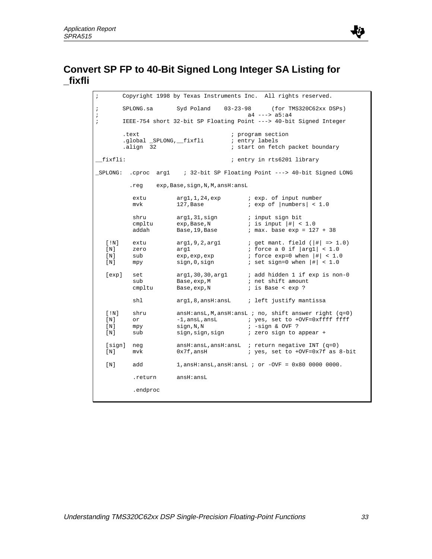

## **Convert SP FP to 40-Bit Signed Long Integer SA Listing for \_fixfli**

; Copyright 1998 by Texas Instruments Inc. All rights reserved. ; SPLONG.sa Syd Poland 03-23-98 (for TMS320C62xx DSPs)  $a4$  --->  $a5:a4$ ; IEEE-754 short 32-bit SP Floating Point ---> 40-bit Signed Integer .text  $\qquad \qquad ; \text{ program section}$ .global \_SPLONG, \_fixfli ; entry labels<br>align 32 ; start on fete ; start on fetch packet boundary \_\_fixfli: ; entry in rts6201 library \_SPLONG: .cproc arg1 ; 32-bit SP Floating Point ---> 40-bit Signed LONG .reg exp,Base,sign,N,M,ansH:ansL extu arg1,1,24,exp  $i$  exp. of input number<br>mvk 127,Base  $i$  exp of |numbers| < 1  $i$  exp of  $|numbers| < 1.0$ shru arg1,31, sign ; input sign bit cmpltu  $\exp$ , Base, N ; is input  $|#| < 1.0$ addah Base,19, Base  $\qquad$  ; max. base  $\exp = 127 + 38$ [!N] extu arg1,9,2,arg1  $i$  get mant. field ( $|#|$  => 1.0)<br>
[N] zero arg1  $i$  force a 0 if  $|arg1| < 1.0$ zero arg1 ; force a 0 if  $\vert \text{arg1} \vert < 1.0$ <br>sub exp, exp, exp ; force exp=0 when  $\vert \text{#} \vert < 1.0$ [N] sub  $\exp, \exp, \exp$  ; force  $\exp=0$  when  $|\#| < 1.0$ [N]  $mpy$   $sign,0,sign$  ; set sign=0 when  $|$ # $|$  < 1.0 [exp] set arg1,30,30,arg1 ; add hidden 1 if exp is non-0 sub Base,exp, M ; net shift amount<br>cmpltu Base,exp, N ; is Base < exp ?  $i$  is Base < exp ? shl arg1,8,ansH:ansL ; left justify mantissa [!N] shru ansH:ansL,M,ansH:ansL ; no, shift answer right (q=0) [N] or -1,ansL,ansL ; yes, set to +OVF=0xffff ffff [N] mpy sign,N,N ; -sign & OVF ?<br>[N] sub sign,sign,sign ; zero sign to a [N] sub sign, sign, sign ; zero sign to appear + [sign] neg ansH:ansL,ansH:ansL ; return negative INT (q=0) [N] mvk 0x7f,ansH ; yes, set to +OVF=0x7f as 8-bit [N] add 1,ansH:ansL,ansH:ansL ; or -OVF = 0x80 0000 0000. .return ansH:ansL .endproc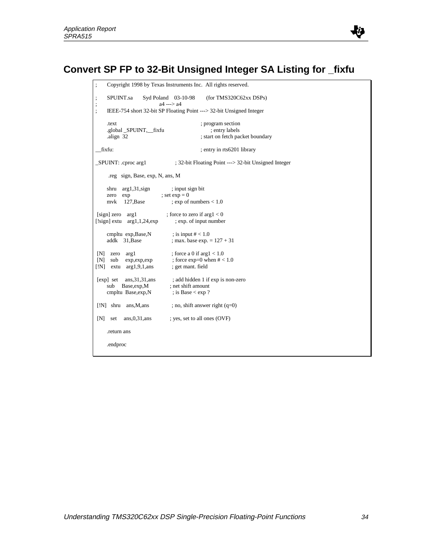

```
; Copyright 1998 by Texas Instruments Inc. All rights reserved.
; SPUINT.sa Syd Poland 03-10-98 (for TMS320C62xx DSPs)
                          a4 ---> a4
; IEEE-754 short 32-bit SP Floating Point ---> 32-bit Unsigned Integer
     .text ; program section
     .global _SPUINT,__fixfu ; entry labels
    .align 32 ; start on fetch packet boundary
__fixfu: ; entry in rts6201 library
_SPUINT: .cproc arg1 ; 32-bit Floating Point ---> 32-bit Unsigned Integer
      .reg sign, Base, exp, N, ans, M
    shru arg1,31,sign ; input sign bit<br>zero exp ; set \exp = 0zero \exp ; set \exp = 0<br>mvk 127,Base : \exp of i
                            ; exp of numbers < 1.0[sign] zero arg1 ; force to zero if arg1 < 0[!sign] extu arg1,1,24,exp ; exp. of input number
cmpltu exp,Base,N ; is input \# < 1.0
addk 31, \text{Base} ; max. base exp. = 127 + 31[N] zero arg1 ; force a 0 if arg1 < 1.0<br>
[N] sub experiences
[N] sub exp,exp,exp ; force exp=0 when # < 1.0<br>[!N] extu arg1,9,1,ans ; get mant. field
[N] extu arg1,9,1,ans
[exp] set ans,31,31,ans ; add hidden 1 if exp is non-zero<br>sub Base,exp,M ; net shift amount
    sub Base,exp, M ; net shift amount<br>cmpltu Base,exp, N ; is Base \langle \exp 2 \ranglecmpltu Base,exp,N[!N] shru ans, M, ans ; no, shift answer right (q=0)
[N] set ans, 0,31, ans ; yes, set to all ones (OVF)
     .return ans
     .endproc
```
Ľ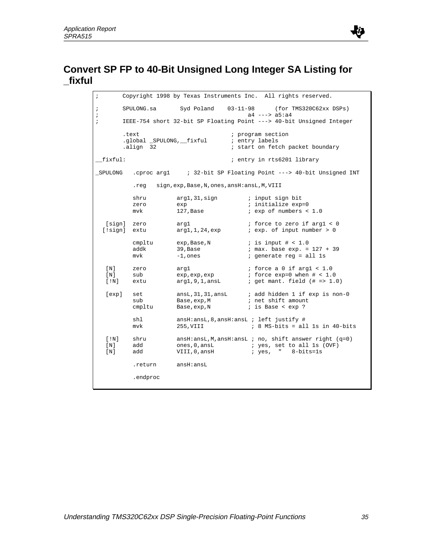

## **Convert SP FP to 40-Bit Unsigned Long Integer SA Listing for \_fixful**

; Copyright 1998 by Texas Instruments Inc. All rights reserved. ; SPULONG.sa Syd Poland  $03-11-98$  (for TMS320C62xx DSPs)<br> $a4$  --->  $a5: a4$  $a4$  --->  $a5:a4$ ; IEEE-754 short 32-bit SP Floating Point ---> 40-bit Unsigned Integer .text  $\qquad \qquad ; \text{ program section}$ .global \_SPULONG, \_fixful ; entry labels<br>align 32 ; start on fete ; start on fetch packet boundary \_\_fixful: ; entry in rts6201 library \_SPULONG .cproc arg1 ; 32-bit SP Floating Point ---> 40-bit Unsigned INT .reg sign,exp,Base,N,ones,ansH:ansL,M,VIII shru arg1,31,sign ; input sign bit<br>zero exp ; initialize exp zero exp ; initialize exp=0 mvk 127, Base : exp of numbers < 1.0 [sign] zero arg1 ; force to zero if arg1 < 0<br>[!sign] extu arg1,1,24,exp ; exp. of input number > 0  $arg1, 1, 24, exp$  ; exp. of input number > 0 cmpltu exp,Base,N ; is input # < 1.0<br>addk 39,Base : max.base exp. = 39, Base  $\begin{array}{ccc} 39, & 39 \\ -1, & 39 \end{array}$  ; max. base exp. = 127 + 39 mvk -1, ones ; generate reg = all 1s [N] zero arg1 ; force a 0 if arg1 < 1.0<br>
[N] sub exp, exp, exp ; force exp=0 when # < 1.0 [N] sub exp, exp, exp ; force exp=0 when # < 1.0 [ $|N|$  extu arg1,9,1,ansL ; get mant. field  $(|N| = 1.0)$ [exp] set ansL,31,31,ansL ; add hidden 1 if exp is non-0<br>sub Base,exp,M ; net shift amount sub Base, exp, M ; net shift amount cmpltu Base, exp, N ; is Base < exp ? shl ansH:ansL,8,ansH:ansL ; left justify # mvk 255,VIII ; 8 MS-bits = all 1s in 40-bits [!N] shru ansH:ansL,M,ansH:ansL ; no, shift answer right (q=0) [N] add ones, 0, ansL ; yes, set to all 1s (OVF) [N] add VIII,0,ansH ; yes, " 8-bits=1s .return ansH:ansL .endproc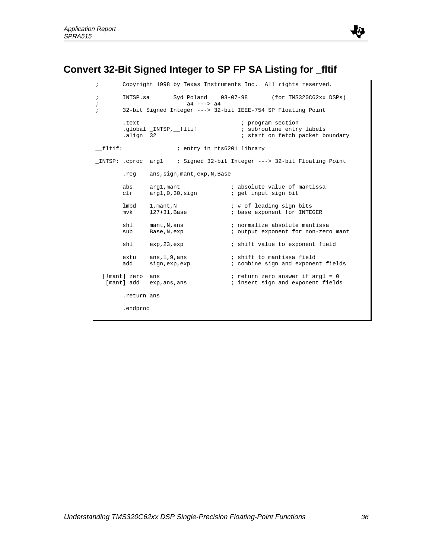

## **Convert 32-Bit Signed Integer to SP FP SA Listing for \_fltif**

; Copyright 1998 by Texas Instruments Inc. All rights reserved. ; INTSP.sa Syd Poland 03-07-98 (for TMS320C62xx DSPs) ; a 4  $--$  > a 4 ; 32-bit Signed Integer ---> 32-bit IEEE-754 SP Floating Point .text ; program section .text<br>.global \_INTSP,\_fltif<br>.align 32 ; start on fetch packet boundary \_\_fltif: ; entry in rts6201 library \_INTSP: .cproc arg1 ; Signed 32-bit Integer ---> 32-bit Floating Point .reg ans,sign,mant,exp,N,Base abs arg1, mant : absolute value of mantissa<br>clr arg1, 0, 30, sign : get input sign bit clr arg1,0,30, sign  $;$  i get input sign bit lmbd 1, mant, N  $\qquad$  ; # of leading sign bits<br>mvk 127+31, Base ; base exponent for INTE ; base exponent for INTEGER shl mant,N,ans ; normalize absolute mantissa<br>sub Base,N,exp ; output exponent for non-zero sub Base, N, exp  $\qquad \qquad ;$  output exponent for non-zero mant shl exp, 23, exp  $\qquad \qquad ;$  shift value to exponent field extu ans,1,9,ans ; shift to mantissa field<br>add sign,exp,exp ; combine sign and exponer ; combine sign and exponent fields [!mant] zero ans ; return zero answer if arg1 = 0 [mant] add exp,ans,ans (insert sign and exponent fields .return ans .endproc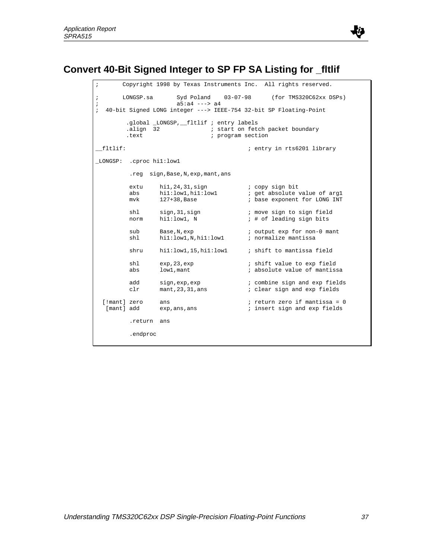

## **Convert 40-Bit Signed Integer to SP FP SA Listing for \_fltlif**

; Copyright 1998 by Texas Instruments Inc. All rights reserved. ; LONGSP.sa Syd Poland 03-07-98 (for TMS320C62xx DSPs) ;  $a\bar{5}:a\bar{4} \text{ --} > a\bar{4}$ ; 40-bit Signed LONG integer ---> IEEE-754 32-bit SP Floating-Point .global \_LONGSP,\_\_fltlif ; entry labels .align 32 : i start on fetch packet boundary .text  $\qquad \qquad ; \qquad \qquad$  program section \_\_fltlif: ; entry in rts6201 library \_LONGSP: .cproc hi1:low1 .reg sign,Base,N,exp,mant,ans extu hi1,24,31,sign ; copy sign bit abs hi1:low1,hi1:low1 ; get absolute value of arg1 mvk 127+38,Base  $\qquad \qquad$  ; base exponent for LONG INT shl sign, 31, sign  $\qquad$  ; move sign to sign field norm hil:low1, N ; # of leading sign bits sub Base, N, exp  $\qquad \qquad ;$  output exp for non-0 mant shl hil:low1,N,hil:low1 ; normalize mantissa shru hil:low1,15,hil:low1 ; shift to mantissa field shl exp, 23, exp  $\qquad$  ; shift value to exp field abs low1, mant  $\qquad \qquad ;$  absolute value of mantissa add sign,exp,exp ; combine sign and exp fields clr mant, 23, 31, ans ; clear sign and exp fields clr mant, 23, 31, ans  $\qquad i$  clear sign and exp fields [!mant] zero ans  $\qquad \qquad ;$  return zero if mantissa = 0 [mant] add exp, ans, ans  $\qquad$  ; insert sign and exp fields .return ans .endproc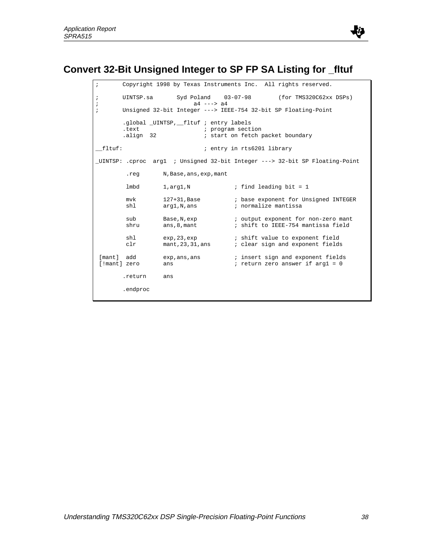

# **Convert 32-Bit Unsigned Integer to SP FP SA Listing for \_fltuf**

| $\cdot$                          |                                                                                                                                               |                                   |  | Copyright 1998 by Texas Instruments Inc. All rights reserved.                                          |  |  |  |
|----------------------------------|-----------------------------------------------------------------------------------------------------------------------------------------------|-----------------------------------|--|--------------------------------------------------------------------------------------------------------|--|--|--|
| $\ddot{i}$<br>$\cdot$<br>$\cdot$ | Syd Poland $03-07-98$ (for TMS320C62xx DSPs)<br>UINTSP.sa<br>$a4$ ---> $a4$<br>Unsigned 32-bit Integer ---> IEEE-754 32-bit SP Floating-Point |                                   |  |                                                                                                        |  |  |  |
|                                  | .global _UINTSP, _fltuf ; entry labels<br>.text<br>; program section<br>; start on fetch packet boundary<br>align 32.                         |                                   |  |                                                                                                        |  |  |  |
| fltuf:                           |                                                                                                                                               |                                   |  | ; entry in rts6201 library                                                                             |  |  |  |
|                                  |                                                                                                                                               |                                   |  | _UINTSP: .cproc arg1 ; Unsigned 32-bit Integer ---> 32-bit SP Floating-Point                           |  |  |  |
|                                  | .reg                                                                                                                                          | N, Base, ans, exp, mant           |  |                                                                                                        |  |  |  |
|                                  | lmbd                                                                                                                                          | 1,arg1,N                          |  | ; find leading bit = $1$                                                                               |  |  |  |
|                                  | mvk<br>shl                                                                                                                                    | 127+31,Base<br>arg1,N,ans         |  | ; base exponent for Unsigned INTEGER<br>; normalize mantissa                                           |  |  |  |
|                                  | sub<br>shru                                                                                                                                   | ans, 8, mant                      |  | Base, N, exp $\qquad \qquad$ ; output exponent for non-zero mant<br>; shift to IEEE-754 mantissa field |  |  |  |
|                                  | shl<br>clr                                                                                                                                    | exp, 23, exp<br>mant, 23, 31, ans |  | ; shift value to exponent field<br>; clear sign and exponent fields                                    |  |  |  |
| [mant] add<br>[!mant] zero       |                                                                                                                                               | exp, ans, ans<br>ans              |  | ; insert sign and exponent fields<br>; return zero answer if $arg1 = 0$                                |  |  |  |
|                                  | .return                                                                                                                                       | ans                               |  |                                                                                                        |  |  |  |
|                                  | .endproc                                                                                                                                      |                                   |  |                                                                                                        |  |  |  |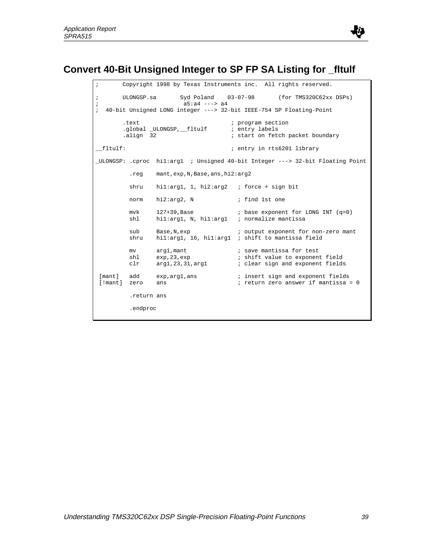

```
; Copyright 1998 by Texas Instruments inc. All rights reserved.
; ULONGSP.sa Syd Poland 03-07-98 (for TMS320C62xx DSPs)
; a5:a4 ---> a4
; 40-bit Unsigned LONG integer ---> 32-bit IEEE-754 SP Floating-Point
.text \qquad \qquad ; \text{ program section} .global _ULONGSP,__fltulf ; entry labels
       .align 32 i start on fetch packet boundary
__fltulf: ; entry in rts6201 library
_ULONGSP: .cproc hi1:arg1 ; Unsigned 40-bit Integer ---> 32-bit Floating Point
         .reg mant,exp,N,Base,ans,hi2:arg2
        shru hil: arg1, 1, hi2: arg2 ; force + sign bit
        norm hi2:arg2, N ; find 1st one
mvk 127+39, Base \qquad i base exponent for LONG INT (q=0)
 shl hi1:arg1, N, hi1:arg1 ; normalize mantissa
        sub Base, N, exp \qquad \qquad ; output exponent for non-zero mant
        shru hil:arg1, 16, hil:arg1 ; shift to mantissa field
        mv arg1, mant ; save mantissa for test<br>
shl exp, 23, exp ; shift value to exponent<br>
clr arg1, 23, 31, arg1 ; clear sign and exponent
shl exp, 23, exp \qquad \qquad ; shift value to exponent field
 clr arg1,23,31,arg1 ; clear sign and exponent fields
 [mant] add exp,arg1,ans ; insert sign and exponent fields
              ans \qquad \qquad ; return zero answer if mantissa = 0
          .return ans
          .endproc
```
IU.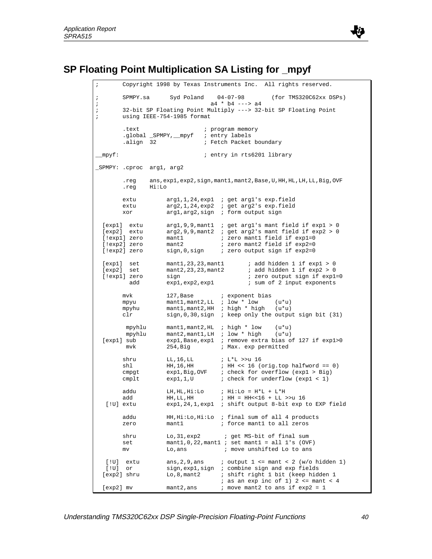

## **SP Floating Point Multiplication SA Listing for \_mpyf**

Copyright 1998 by Texas Instruments Inc. All rights reserved. ; SPMPY.sa Syd Poland 04-07-98 (for TMS320C62xx DSPs) ; a 4  $*$  b4 ---> a 4 ; 32-bit SP Floating Point Multiply ---> 32-bit SP Floating Point ; using IEEE-754-1985 format .text  $\qquad \qquad ; \qquad \qquad$  program memory .global \_SPMPY, \_mpyf ; entry labels<br>.align 32 ; Fetch Packet ; Fetch Packet boundary \_\_mpyf: ; entry in rts6201 library \_SPMPY: .cproc arg1, arg2 .reg ans,exp1,exp2,sign,mant1,mant2,Base,U,HH,HL,LH,LL,Big,OVF .reg Hi:Lo extu arg1,1,24, exp1 ; get arg1's exp.field extu arg2,1,24, exp2 ; get arg2's exp.field xor arg1,arg2,sign ; form output sign [exp1] extu arg1,9,9,mant1 ; get arg1's mant field if exp1 > 0 [exp2] extu arg2,9,9,mant2 ; get arg2's mant field if exp2 > 0 [!exp1] zero mant1 ; zero mant1 field if exp1=0 [!exp1] zero mant1 ; zero mant1 field if exp1=0<br>[!exp2] zero mant2 ; zero mant2 field if exp2=0 [!exp2] zero sign,0,sign ; zero output sign if exp2=0 [exp1] set mant1,23,23, mant1 ; add hidden 1 if  $exp1$  set mant2,23,23, mant2 ; add hidden 1 if  $exp2 > 0$  [exp2] set mant2,23,23,mant2 ; add hidden 1 if exp2 > 0 [!exp1] zero sign <br>add exp1,exp2,exp1 ; sum of 2 input exponents ; sum of 2 input exponents mvk 127, Base ; exponent bias mpyu mant1, mant2, LL ; low \* low (u\*u) mpyhu mant1,mant2,HH ; high \* high (u\*u) clr sign,0,30,sign ; keep only the output sign bit (31) mpyhlu mant1,mant2,HL ; high \* low (u\*u) mpyhlu mant2,mant1,LH ; low \* high (u\*u) [exp1] sub exp1,Base,exp1 ; remove extra bias of 127 if exp1>0 ; Max. exp permitted shru LL,16,LL ; L\*L >>u 16 shl HH,16,HH ; HH << 16 (orig.top halfword == 0)<br>cmpgt expl,Big,OVF ; check for overflow (expl > Big) cmpgt exp1,Big,OVF ; check for overflow (exp1 > Big) cmplt exp1,1,U ; check for underflow (exp1 < 1)  $\begin{array}{lllllllllll} \text{addu} & \text{LH}, \text{HL}, \text{HL}:\text{Lo} & \text{ } & \text{Hi}: \text{Lo} = \text{H*L} + \text{L*H} \\ \text{add} & \text{HH}, \text{LL}, \text{HH} & \text{ } & \text{ } & \text{HH} = \text{HH} << 16 \text{ } + \text{ LL} \text{ } \text{.} \end{array}$  add HH,LL,HH ; HH = HH<<16 + LL >>u 16  $\exp 1, 24, 1, \exp 1$  ; shift output 8-bit  $\exp$  to EXP field addu HH,Hi:Lo,Hi:Lo ; final sum of all 4 products zero mant1 ; force mant1 to all zeros shru Lo, 31, exp2 ; get MS-bit of final sum set mant1,0,22, mant1 ; set mant1 = all 1's (OVF)<br>mv Lo,ans ; move unshifted Lo to ans mv Lo, ans  $\qquad \qquad$  i move unshifted Lo to ans [!U] extu  $ans, 2, 9, ans$  ; output  $1 \leq man < 2$  (w/o hidden 1)<br>[!U] or  $sign, exp1, sign$  ; combine sign and exp fields sign, expl, sign ; combine sign and exp fields [exp2] shru Lo,8,mant2 ; shift right 1 bit (keep hidden 1  $i$  as an exp inc of 1) 2 <= mant < 4  $[exp2]$  mv mant2, ans ; move mant2 to ans if  $exp2 = 1$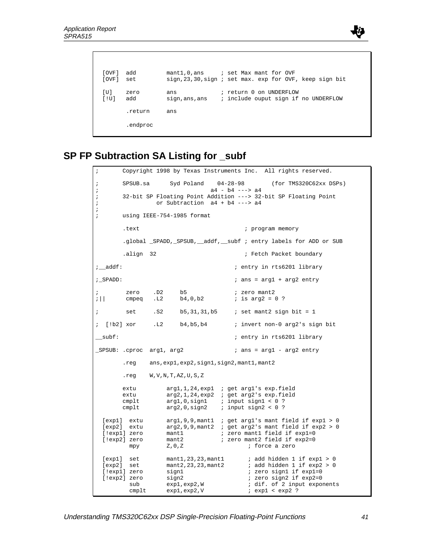

```
 [OVF] add mant1,0,ans ; set Max mant for OVF
[OVF] set sign,23,30, sign ; set max. exp for OVF, keep sign bit
[U] zero ans ; return 0 on UNDERFLOW
 [!U] add sign,ans,ans ; include ouput sign if no UNDERFLOW
      .return ans
      .endproc
```
## **SP FP Subtraction SA Listing for \_subf**

```
Copyright 1998 by Texas Instruments Inc. All rights reserved.
; SPSUB.sa Syd Poland 04-28-98 (for TMS320C62xx DSPs)
; a4 - b4 ---> a4
; 32-bit SP Floating Point Addition ---> 32-bit SP Floating Point
; or Subtraction a4 + b4 ---> a4
;
; using IEEE-754-1985 format
      .text \qquad \qquad ; \qquad \qquad program memory
       .global _SPADD,_SPSUB,__addf,__subf ; entry labels for ADD or SUB
       .align 32 i Fetch Packet boundary
i addf: i and j entry in rts6201 library
i_SPADD: i ans = arg1 + arg2 entry
       zero .D2 b5 ; zero mant2
;|| cmpeq .L2 b4,0,b2 ; is arg2 = 0 ?
; set .S2 b5,31,31,b5 ; set mant2 sign bit = 1
; [!b2] xor .L2 b4,b5,b4 ; invert non-0 arg2's sign bit
 __subf: ; entry in rts6201 library
_SPSUB: .cproc arg1, arg2 \qquad \qquad ; ans = arg1 - arg2 entry
        .reg ans,exp1,exp2,sign1,sign2,mant1,mant2
        .reg W,V,N,T,AZ,U,S,Z
      extu arg1,1,24, exp1 ; get arg1's exp.field
 extu arg2,1,24,exp2 ; get arg2's exp.field
 cmplt arg1,0,sign1 ; input sign1 < 0 ?
      cmplt arg2,0,sign2 ; input sign2 < 0 ?
 [exp1] extu arg1,9,9,mant1 ; get arg1's mant field if exp1 > 0<br>[exp2] extu arg2,9,9,mant2 ; get arg2's mant field if exp2 > 0
                arg(2,9,9,7), mant 2 ; get arg2's mant field if exp2 > 0
 [!exp1] zero mant1 ; zero mant1 field if exp1=0<br>[!exp2] zero mant2 ; zero mant2 field if exp2=0
                 mant2 \qquad ; zero mant2 field if exp2=0
        mpy Z, 0, Z ; force a zero
 [exp1] set mant1,23,23,mant1 ; add hidden 1 if exp1 > 0
 [exp2] set mant2,23,23,mant2 ; add hidden 1 if exp2 > 0
 [!exp1] zero sign1 i zero sign1 if exp1=0
 [!exp2] zero sign2 ; zero sign2 if exp2=0<br>sub exp1,exp2,W ; dif. of 2 input expo
        sub exp1, exp2, W ; dif. of 2 input exponents cmplt exp1, exp2, V ; exp1 < exp2 ?
                 exp1, exp2, V ; exp1 < exp2 ?
```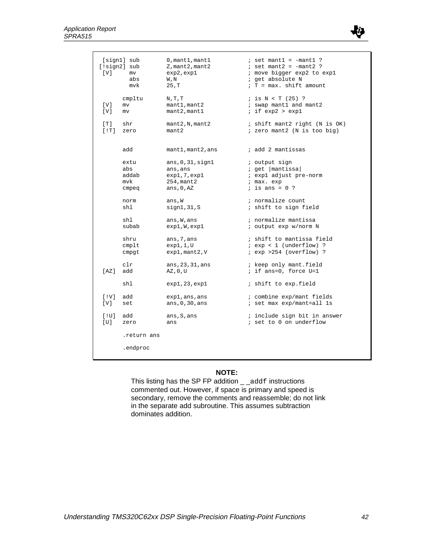

| $\lceil V \rceil$ | [sign1] sub        | $0$ , mant $1$ , mant $1$               | $:$ set mant1 = $-mant1$ ?                                              |
|-------------------|--------------------|-----------------------------------------|-------------------------------------------------------------------------|
|                   | [!sign2] sub       | Z, mant2, mant2                         | $i$ set mant2 = $-mant2$ ?                                              |
|                   | mv                 | exp2, exp1                              | ; move bigger exp2 to exp1                                              |
|                   | abs                | W, N                                    | ; get absolute N                                                        |
|                   | mvk                | 25, T                                   | $T = max$ . shift amount                                                |
| $[\nabla]$<br>[V] | cmpltu<br>mv<br>mv | N, T, T<br>mant1, mant2<br>mant2, mant1 | $i$ is $N < T$ (25) ?<br>; swap mant1 and mant2<br>$i$ if $exp2 > exp1$ |
| [T]               | shr                | mant2,N, mant2                          | ; shift mant2 right (N is OK)                                           |
| [!T]              | zero               | mant2                                   | ; zero mant2 (N is too big)                                             |
|                   | add                | mant1, mant2, ans                       | ; add 2 mantissas                                                       |
|                   | extu               | ans, 0, 31, signal                      | ; output sign                                                           |
|                   | abs                | ans, ans                                | ; get   mantissa                                                        |
|                   | addab              | exp1,7,exp1                             | ; expl adjust pre-norm                                                  |
|                   | mvk                | 254, mant 2                             | ; max. exp                                                              |
|                   | cmpeq              | ans, $0, AZ$                            | $:$ is ans = $0$ ?                                                      |
|                   | norm               | ans, W                                  | ; normalize count                                                       |
|                   | shl                | signal,31,S                             | ; shift to sign field                                                   |
|                   | shl                | ans, W, ans                             | ; normalize mantissa                                                    |
|                   | subab              | exp1,W,exp1                             | ; output exp w/norm N                                                   |
|                   | shru               | ans, 7, ans                             | ; shift to mantissa field                                               |
|                   | $cm$ plt           | exp1,1,U                                | $i$ exp < 1 (underflow) ?                                               |
|                   | cmpgt              | exp1, mant2, V                          | $i$ exp >254 (overflow) ?                                               |
| [AZ]              | clr                | ans, 23, 31, ans                        | ; keep only mant.field                                                  |
|                   | add                | AZ, 0, U                                | ; if ans=0, force U=1                                                   |
|                   | shl                | exp1, 23, exp1                          | ; shift to exp.field                                                    |
| [IV]              | add                | exp1, ans, ans                          | ; combine exp/mant fields                                               |
| [V]               | set                | ans, $0, 30$ , ans                      | ; set max exp/mant=all 1s                                               |
| [10]              | add                | ans, S, ans                             | ; include sign bit in answer                                            |
| [U]               | zero               | ans                                     | ; set to 0 on underflow                                                 |
|                   | .return ans        |                                         |                                                                         |
|                   | .endproc           |                                         |                                                                         |

#### **NOTE:**

This listing has the SP FP addition \_ \_addf instructions commented out. However, if space is primary and speed is secondary, remove the comments and reassemble; do not link in the separate add subroutine. This assumes subtraction dominates addition.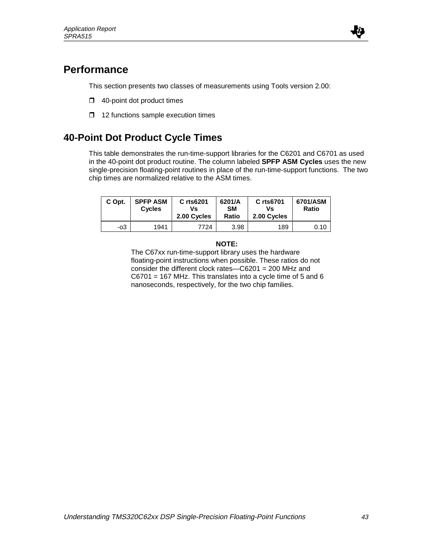

## **Performance**

This section presents two classes of measurements using Tools version 2.00:

- $\Box$  40-point dot product times
- $\Box$  12 functions sample execution times

## **40-Point Dot Product Cycle Times**

This table demonstrates the run-time-support libraries for the C6201 and C6701 as used in the 40-point dot product routine. The column labeled **SPFP ASM Cycles** uses the new single-precision floating-point routines in place of the run-time-support functions. The two chip times are normalized relative to the ASM times.

| C Opt. | <b>SPFP ASM</b><br><b>Cycles</b> | C rts6201<br>Vs<br>2.00 Cycles | 6201/A<br><b>SM</b><br>Ratio | C rts6701<br>Vs<br>2.00 Cycles | 6701/ASM<br>Ratio |
|--------|----------------------------------|--------------------------------|------------------------------|--------------------------------|-------------------|
| -03    | 1941                             | 7724                           | 3.98                         | 189                            | 0.10              |

#### **NOTE:**

The C67xx run-time-support library uses the hardware floating-point instructions when possible. These ratios do not consider the different clock rates—C6201 = 200 MHz and C6701 = 167 MHz. This translates into a cycle time of 5 and 6 nanoseconds, respectively, for the two chip families.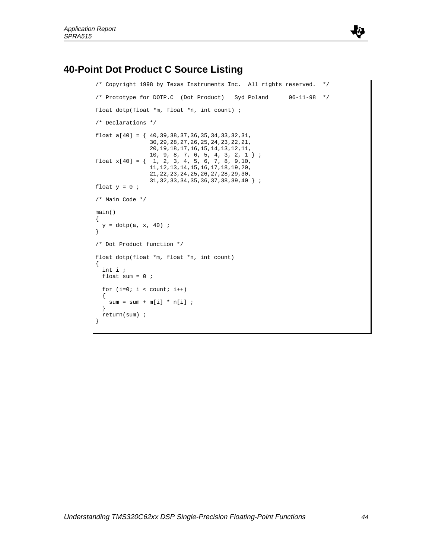

## **40-Point Dot Product C Source Listing**

```
/* Copyright 1998 by Texas Instruments Inc. All rights reserved. */
/* Prototype for DOTP.C (Dot Product) Syd Poland 06-11-98 */
float dotp(float *m, float *n, int count) ;
/* Declarations */
float a[40] = { 40,39,38,37,36,35,34,33,32,31,
                30,29,28,27,26,25,24,23,22,21,
                20,19,18,17,16,15,14,13,12,11,
 10, 9, 8, 7, 6, 5, 4, 3, 2, 1 } ;
float x[40] = \{ 1, 2, 3, 4, 5, 6, 7, 8, 9, 10, 11,12,13,14,15,16,17,18,19,20,
                21,22,23,24,25,26,27,28,29,30,
                31,32,33,34,35,36,37,38,39,40 } ;
float y = 0 ;
/* Main Code */
main()
{
 y = dotp(a, x, 40) ;
}
/* Dot Product function */
float dotp(float *m, float *n, int count)
{
  int i ;
  float sum = 0 ;
 for (i=0; i < count; i++)\{sum = sum + m[i] * n[i];
   }
  return(sum) ;
}
```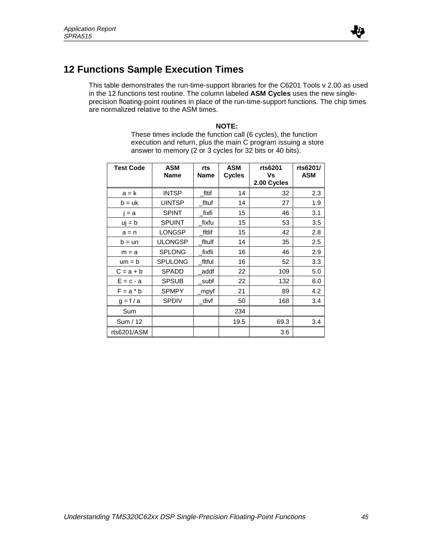

## **12 Functions Sample Execution Times**

This table demonstrates the run-time-support libraries for the C6201 Tools v 2.00 as used in the 12 functions test routine. The column labeled **ASM Cycles** uses the new singleprecision floating-point routines in place of the run-time-support functions. The chip times are normalized relative to the ASM times.

#### **NOTE:**

These times include the function call (6 cycles), the function execution and return, plus the main C program issuing a store answer to memory (2 or 3 cycles for 32 bits or 40 bits).

| <b>Test Code</b> | <b>ASM</b><br><b>Name</b> | rts<br><b>Name</b> | <b>ASM</b><br><b>Cycles</b> | rts6201<br>Vs<br>2.00 Cycles | rts6201/<br><b>ASM</b> |
|------------------|---------------------------|--------------------|-----------------------------|------------------------------|------------------------|
| $a = k$          | <b>INTSP</b>              | fltif              | 14                          | 32                           | 2.3                    |
| $b = uk$         | <b>UINTSP</b>             | fltuf              | 14                          | 27                           | 1.9                    |
| $= a$            | <b>SPINT</b>              | fixfi              | 15                          | 46                           | 3.1                    |
| $uj = b$         | <b>SPUINT</b>             | fixfu              | 15                          | 53                           | 3.5                    |
| $a = n$          | <b>LONGSP</b>             | fltlif             | 15                          | 42                           | 2.8                    |
| $b = un$         | <b>ULONGSP</b>            | fltulf             | 14                          | 35                           | 2.5                    |
| $m = a$          | <b>SPLONG</b>             | fixfli             | 16                          | 46                           | 2.9                    |
| $um = b$         | <b>SPULONG</b>            | fltful             | 16                          | 52                           | 3.3                    |
| $C = a + b$      | <b>SPADD</b>              | addf               | 22                          | 109                          | 5.0                    |
| $E = c - a$      | <b>SPSUB</b>              | _subf              | 22                          | 132                          | 6.0                    |
| $F = a * b$      | <b>SPMPY</b>              | _mpyf              | 21                          | 89                           | 4.2                    |
| $g = f/a$        | <b>SPDIV</b>              | _divf              | 50                          | 168                          | 3.4                    |
| Sum              |                           |                    | 234                         |                              |                        |
| Sum / 12         |                           |                    | 19.5                        | 69.3                         | 3.4                    |
| rts6201/ASM      |                           |                    |                             | 3.6                          |                        |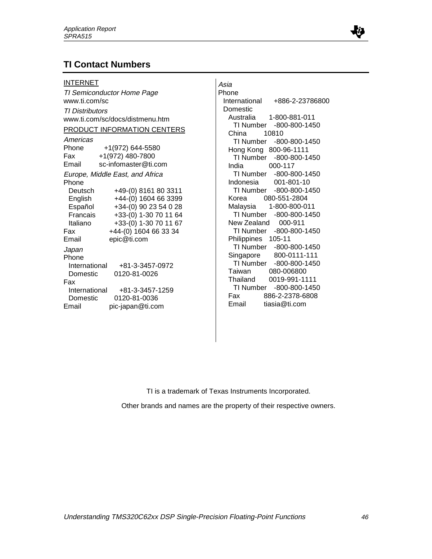### **TI Contact Numbers**

#### INTERNET

TI Semiconductor Home Page www.ti.com/sc TI Distributors www.ti.com/sc/docs/distmenu.htm PRODUCT INFORMATION CENTERS Americas Phone +1(972) 644-5580 Fax +1(972) 480-7800 Email sc-infomaster@ti.com Europe, Middle East, and Africa Phone Deutsch +49-(0) 8161 80 3311 English +44-(0) 1604 66 3399 Español +34-(0) 90 23 54 0 28 Francais +33-(0) 1-30 70 11 64 Italiano +33-(0) 1-30 70 11 67 Fax +44-(0) 1604 66 33 34 Email epic@ti.com Japan Phone International +81-3-3457-0972 Domestic 0120-81-0026 Fax International +81-3-3457-1259 Domestic 0120-81-0036 Email pic-japan@ti.com

Asia Phone International +886-2-23786800 Domestic Australia 1-800-881-011 TI Number -800-800-1450 China 10810 TI Number -800-800-1450 Hong Kong 800-96-1111 TI Number -800-800-1450 India 000-117 TI Number -800-800-1450 Indonesia 001-801-10 TI Number -800-800-1450 Korea 080-551-2804 Malaysia 1-800-800-011 TI Number -800-800-1450 New Zealand 000-911 TI Number -800-800-1450 Philippines 105-11 TI Number -800-800-1450 Singapore 800-0111-111 TI Number -800-800-1450 Taiwan 080-006800 Thailand 0019-991-1111 TI Number -800-800-1450 Fax 886-2-2378-6808 Email tiasia@ti.com

TI is a trademark of Texas Instruments Incorporated.

Other brands and names are the property of their respective owners.